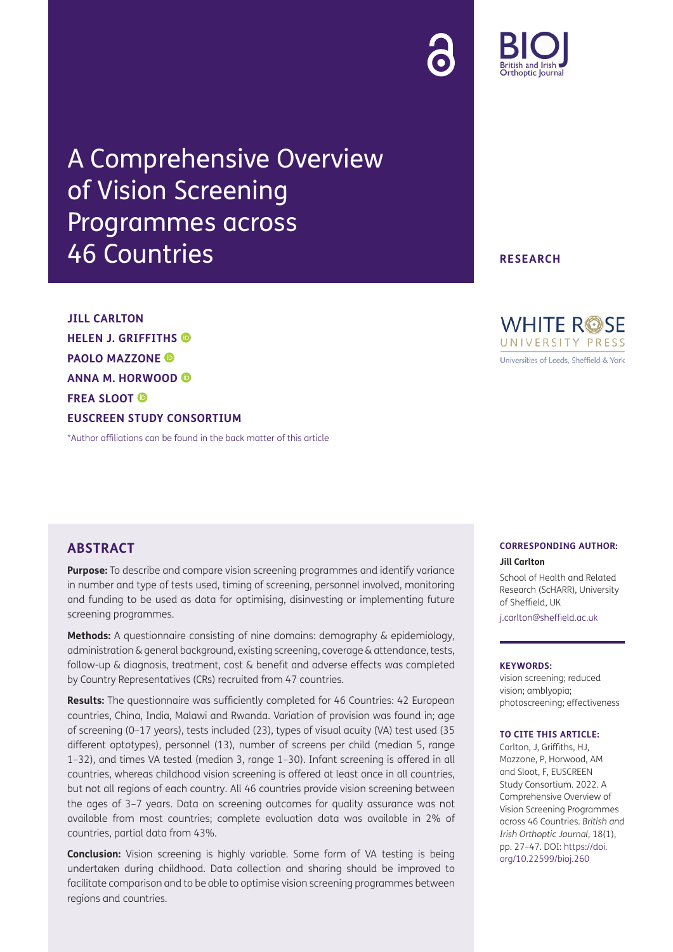

# A Comprehensive Overview of Vision Screening Programmes across 46 Countries

**JILL CARLTON HELEN J. GRIFFITHS PAOLO MAZZONE ANNA M. HORWOOD FREA SLOOT EUSCREEN STUDY CONSORTIUM**

[\\*Author affiliations can be found in the back matter of this article](#page-18-0)

## **ABSTRACT**

**Purpose:** To describe and compare vision screening programmes and identify variance in number and type of tests used, timing of screening, personnel involved, monitoring and funding to be used as data for optimising, disinvesting or implementing future screening programmes.

**Methods:** A questionnaire consisting of nine domains: demography & epidemiology, administration & general background, existing screening, coverage & attendance, tests, follow-up & diagnosis, treatment, cost & benefit and adverse effects was completed by Country Representatives (CRs) recruited from 47 countries.

**Results:** The questionnaire was sufficiently completed for 46 Countries: 42 European countries, China, India, Malawi and Rwanda. Variation of provision was found in; age of screening (0–17 years), tests included (23), types of visual acuity (VA) test used (35 different optotypes), personnel (13), number of screens per child (median 5, range 1–32), and times VA tested (median 3, range 1–30). Infant screening is offered in all countries, whereas childhood vision screening is offered at least once in all countries, but not all regions of each country. All 46 countries provide vision screening between the ages of 3–7 years. Data on screening outcomes for quality assurance was not available from most countries; complete evaluation data was available in 2% of countries, partial data from 43%.

**Conclusion:** Vision screening is highly variable. Some form of VA testing is being undertaken during childhood. Data collection and sharing should be improved to facilitate comparison and to be able to optimise vision screening programmes between regions and countries.

**RESEARCH**



#### **CORRESPONDING AUTHOR: Jill Carlton**

School of Health and Related

Research (ScHARR), University of Sheffield, UK

[j.carlton@sheffield.ac.uk](mailto:j.carlton@sheffield.ac.uk)

#### **KEYWORDS:**

vision screening; reduced vision; amblyopia; photoscreening; effectiveness

#### **TO CITE THIS ARTICLE:**

Carlton, J, Griffiths, HJ, Mazzone, P, Horwood, AM and Sloot, F, EUSCREEN Study Consortium. 2022. A Comprehensive Overview of Vision Screening Programmes across 46 Countries. *British and Irish Orthoptic Journal*, 18(1), pp. 27–47. DOI: [https://doi.](https://doi.org/10.22599/bioj.260) [org/10.22599/bioj.260](https://doi.org/10.22599/bioj.260)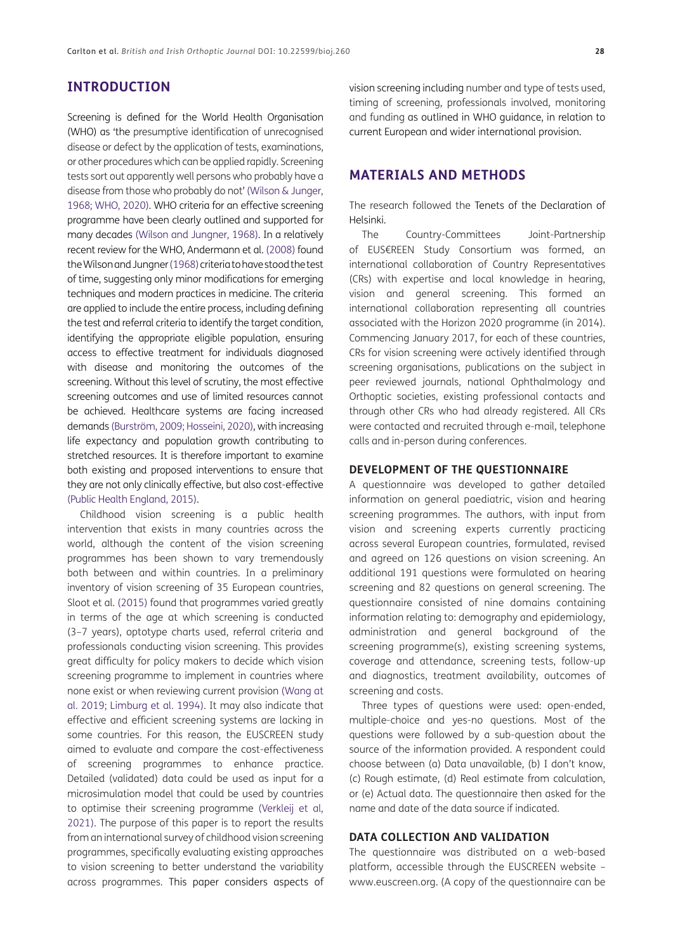## **INTRODUCTION**

Screening is defined for the World Health Organisation (WHO) as 'the presumptive identification of unrecognised disease or defect by the application of tests, examinations, or other procedures which can be applied rapidly. Screening tests sort out apparently well persons who probably have a disease from those who probably do not' [\(Wilson & Junger,](#page-19-0) [1968;](#page-19-0) [WHO, 2020\)](#page-19-1). WHO criteria for an effective screening programme have been clearly outlined and supported for many decades ([Wilson and Jungner, 1968\)](#page-19-0). In a relatively recent review for the WHO, Andermann et al. (2008) found the Wilson and Jungner [\(1968](#page-19-0)) criteria to have stood the test of time, suggesting only minor modifications for emerging techniques and modern practices in medicine. The criteria are applied to include the entire process, including defining the test and referral criteria to identify the target condition, identifying the appropriate eligible population, ensuring access to effective treatment for individuals diagnosed with disease and monitoring the outcomes of the screening. Without this level of scrutiny, the most effective screening outcomes and use of limited resources cannot be achieved. Healthcare systems are facing increased demands (Burström, 2009; [Hosseini, 2020](#page-19-2)), with increasing life expectancy and population growth contributing to stretched resources. It is therefore important to examine both existing and proposed interventions to ensure that they are not only clinically effective, but also cost-effective [\(Public Health England, 2015](#page-19-3)).

Childhood vision screening is a public health intervention that exists in many countries across the world, although the content of the vision screening programmes has been shown to vary tremendously both between and within countries. In a preliminary inventory of vision screening of 35 European countries, Sloot et al. ([2015\)](#page-19-4) found that programmes varied greatly in terms of the age at which screening is conducted (3–7 years), optotype charts used, referral criteria and professionals conducting vision screening. This provides great difficulty for policy makers to decide which vision screening programme to implement in countries where none exist or when reviewing current provision ([Wang at](#page-19-5) [al. 2019](#page-19-5); Limburg et al. 1994). It may also indicate that effective and efficient screening systems are lacking in some countries. For this reason, the EUSCREEN study aimed to evaluate and compare the cost-effectiveness of screening programmes to enhance practice. Detailed (validated) data could be used as input for a microsimulation model that could be used by countries to optimise their screening programme (Verkleij et al, 2021). The purpose of this paper is to report the results from an international survey of childhood vision screening programmes, specifically evaluating existing approaches to vision screening to better understand the variability across programmes. This paper considers aspects of vision screening including number and type of tests used, timing of screening, professionals involved, monitoring and funding as outlined in WHO guidance, in relation to current European and wider international provision.

## **MATERIALS AND METHODS**

The research followed the Tenets of the Declaration of Helsinki.

The Country-Committees Joint-Partnership of EUS€REEN Study Consortium was formed, an international collaboration of Country Representatives (CRs) with expertise and local knowledge in hearing, vision and general screening. This formed an international collaboration representing all countries associated with the Horizon 2020 programme (in 2014). Commencing January 2017, for each of these countries, CRs for vision screening were actively identified through screening organisations, publications on the subject in peer reviewed journals, national Ophthalmology and Orthoptic societies, existing professional contacts and through other CRs who had already registered. All CRs were contacted and recruited through e-mail, telephone calls and in-person during conferences.

#### **DEVELOPMENT OF THE QUESTIONNAIRE**

A questionnaire was developed to gather detailed information on general paediatric, vision and hearing screening programmes. The authors, with input from vision and screening experts currently practicing across several European countries, formulated, revised and agreed on 126 questions on vision screening. An additional 191 questions were formulated on hearing screening and 82 questions on general screening. The questionnaire consisted of nine domains containing information relating to: demography and epidemiology, administration and general background of the screening programme(s), existing screening systems, coverage and attendance, screening tests, follow-up and diagnostics, treatment availability, outcomes of screening and costs.

Three types of questions were used: open-ended, multiple-choice and yes-no questions. Most of the questions were followed by a sub-question about the source of the information provided. A respondent could choose between (a) Data unavailable, (b) I don't know, (c) Rough estimate, (d) Real estimate from calculation, or (e) Actual data. The questionnaire then asked for the name and date of the data source if indicated.

#### **DATA COLLECTION AND VALIDATION**

The questionnaire was distributed on a web-based platform, accessible through the EUSCREEN website – www.euscreen.org. (A copy of the questionnaire can be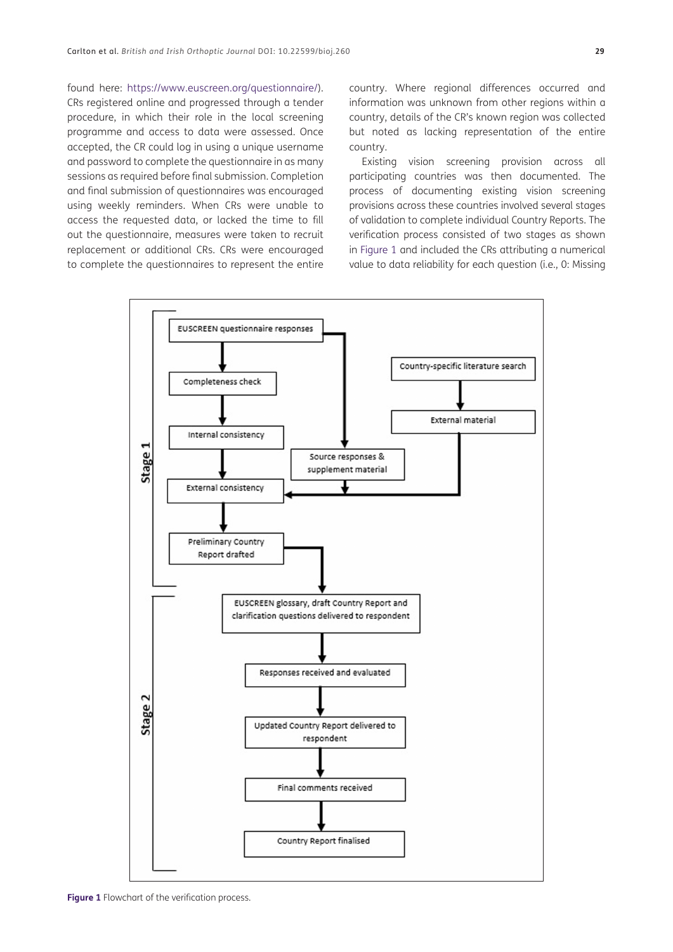found here: <https://www.euscreen.org/questionnaire/>). CRs registered online and progressed through a tender procedure, in which their role in the local screening programme and access to data were assessed. Once accepted, the CR could log in using a unique username and password to complete the questionnaire in as many sessions as required before final submission. Completion and final submission of questionnaires was encouraged using weekly reminders. When CRs were unable to access the requested data, or lacked the time to fill out the questionnaire, measures were taken to recruit replacement or additional CRs. CRs were encouraged to complete the questionnaires to represent the entire country. Where regional differences occurred and information was unknown from other regions within a country, details of the CR's known region was collected but noted as lacking representation of the entire country.

Existing vision screening provision across all participating countries was then documented. The process of documenting existing vision screening provisions across these countries involved several stages of validation to complete individual Country Reports. The verification process consisted of two stages as shown in [Figure 1](#page-2-0) and included the CRs attributing a numerical value to data reliability for each question (i.e., 0: Missing



<span id="page-2-0"></span>**Figure 1** Flowchart of the verification process.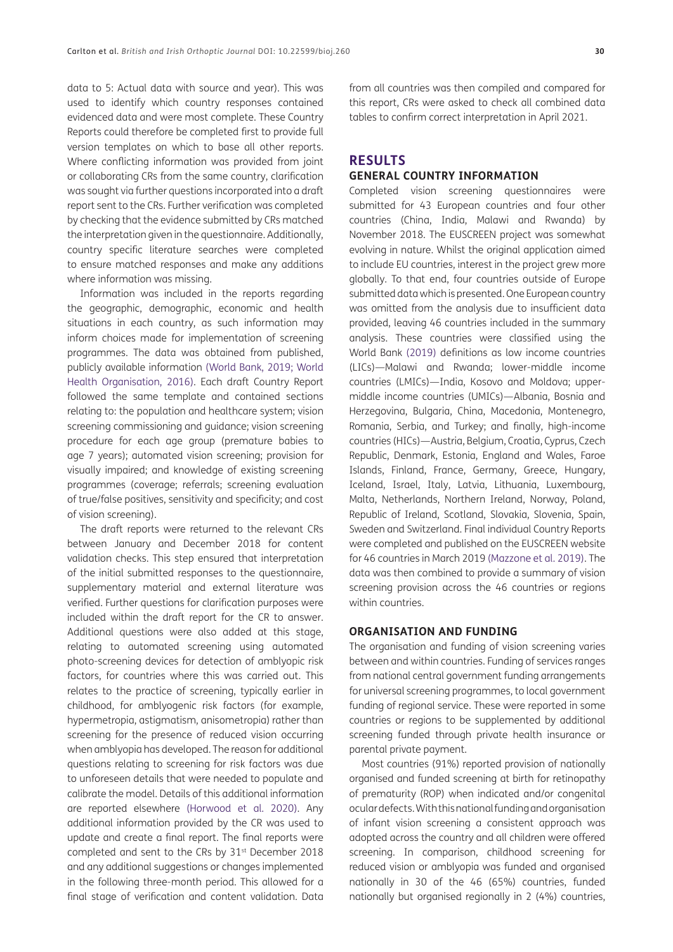data to 5: Actual data with source and year). This was used to identify which country responses contained evidenced data and were most complete. These Country Reports could therefore be completed first to provide full version templates on which to base all other reports. Where conflicting information was provided from joint or collaborating CRs from the same country, clarification was sought via further questions incorporated into a draft report sent to the CRs. Further verification was completed by checking that the evidence submitted by CRs matched the interpretation given in the questionnaire. Additionally, country specific literature searches were completed to ensure matched responses and make any additions where information was missing.

Information was included in the reports regarding the geographic, demographic, economic and health situations in each country, as such information may inform choices made for implementation of screening programmes. The data was obtained from published, publicly available information ([World Bank, 2019](#page-19-6); [World](#page-19-7) [Health Organisation, 2016](#page-19-7)). Each draft Country Report followed the same template and contained sections relating to: the population and healthcare system; vision screening commissioning and guidance; vision screening procedure for each age group (premature babies to age 7 years); automated vision screening; provision for visually impaired; and knowledge of existing screening programmes (coverage; referrals; screening evaluation of true/false positives, sensitivity and specificity; and cost of vision screening).

The draft reports were returned to the relevant CRs between January and December 2018 for content validation checks. This step ensured that interpretation of the initial submitted responses to the questionnaire, supplementary material and external literature was verified. Further questions for clarification purposes were included within the draft report for the CR to answer. Additional questions were also added at this stage, relating to automated screening using automated photo-screening devices for detection of amblyopic risk factors, for countries where this was carried out. This relates to the practice of screening, typically earlier in childhood, for amblyogenic risk factors (for example, hypermetropia, astigmatism, anisometropia) rather than screening for the presence of reduced vision occurring when amblyopia has developed. The reason for additional questions relating to screening for risk factors was due to unforeseen details that were needed to populate and calibrate the model. Details of this additional information are reported elsewhere [\(Horwood et al. 2020](#page-19-8)). Any additional information provided by the CR was used to update and create a final report. The final reports were completed and sent to the CRs by 31<sup>st</sup> December 2018 and any additional suggestions or changes implemented in the following three-month period. This allowed for a final stage of verification and content validation. Data from all countries was then compiled and compared for this report, CRs were asked to check all combined data tables to confirm correct interpretation in April 2021.

## **RESULTS**

#### **GENERAL COUNTRY INFORMATION**

Completed vision screening questionnaires were submitted for 43 European countries and four other countries (China, India, Malawi and Rwanda) by November 2018. The EUSCREEN project was somewhat evolving in nature. Whilst the original application aimed to include EU countries, interest in the project grew more globally. To that end, four countries outside of Europe submitted data which is presented. One European country was omitted from the analysis due to insufficient data provided, leaving 46 countries included in the summary analysis. These countries were classified using the World Bank [\(2019](#page-19-6)) definitions as low income countries (LICs)—Malawi and Rwanda; lower-middle income countries (LMICs)—India, Kosovo and Moldova; uppermiddle income countries (UMICs)—Albania, Bosnia and Herzegovina, Bulgaria, China, Macedonia, Montenegro, Romania, Serbia, and Turkey; and finally, high-income countries (HICs)—Austria, Belgium, Croatia, Cyprus, Czech Republic, Denmark, Estonia, England and Wales, Faroe Islands, Finland, France, Germany, Greece, Hungary, Iceland, Israel, Italy, Latvia, Lithuania, Luxembourg, Malta, Netherlands, Northern Ireland, Norway, Poland, Republic of Ireland, Scotland, Slovakia, Slovenia, Spain, Sweden and Switzerland. Final individual Country Reports were completed and published on the EUSCREEN website for 46 countries in March 2019 ([Mazzone et al. 2019\)](#page-19-9). The data was then combined to provide a summary of vision screening provision across the 46 countries or regions within countries.

#### **ORGANISATION AND FUNDING**

The organisation and funding of vision screening varies between and within countries. Funding of services ranges from national central government funding arrangements for universal screening programmes, to local government funding of regional service. These were reported in some countries or regions to be supplemented by additional screening funded through private health insurance or parental private payment.

Most countries (91%) reported provision of nationally organised and funded screening at birth for retinopathy of prematurity (ROP) when indicated and/or congenital ocular defects. With this national funding and organisation of infant vision screening a consistent approach was adopted across the country and all children were offered screening. In comparison, childhood screening for reduced vision or amblyopia was funded and organised nationally in 30 of the 46 (65%) countries, funded nationally but organised regionally in 2 (4%) countries,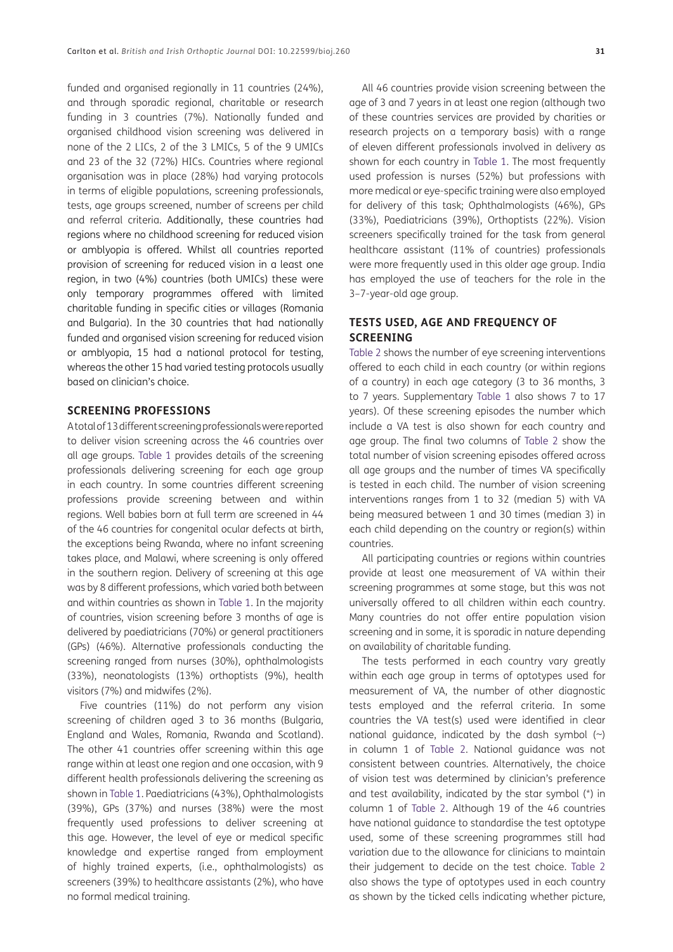funded and organised regionally in 11 countries (24%), and through sporadic regional, charitable or research funding in 3 countries (7%). Nationally funded and organised childhood vision screening was delivered in none of the 2 LICs, 2 of the 3 LMICs, 5 of the 9 UMICs and 23 of the 32 (72%) HICs. Countries where regional organisation was in place (28%) had varying protocols in terms of eligible populations, screening professionals, tests, age groups screened, number of screens per child and referral criteria. Additionally, these countries had regions where no childhood screening for reduced vision or amblyopia is offered. Whilst all countries reported provision of screening for reduced vision in a least one region, in two (4%) countries (both UMICs) these were only temporary programmes offered with limited charitable funding in specific cities or villages (Romania and Bulgaria). In the 30 countries that had nationally funded and organised vision screening for reduced vision or amblyopia, 15 had a national protocol for testing, whereas the other 15 had varied testing protocols usually based on clinician's choice.

#### **SCREENING PROFESSIONS**

A total of 13 different screening professionals were reported to deliver vision screening across the 46 countries over all age groups. [Table 1](#page-6-0) provides details of the screening professionals delivering screening for each age group in each country. In some countries different screening professions provide screening between and within regions. Well babies born at full term are screened in 44 of the 46 countries for congenital ocular defects at birth, the exceptions being Rwanda, where no infant screening takes place, and Malawi, where screening is only offered in the southern region. Delivery of screening at this age was by 8 different professions, which varied both between and within countries as shown in [Table 1.](#page-6-0) In the majority of countries, vision screening before 3 months of age is delivered by paediatricians (70%) or general practitioners (GPs) (46%). Alternative professionals conducting the screening ranged from nurses (30%), ophthalmologists (33%), neonatologists (13%) orthoptists (9%), health visitors (7%) and midwifes (2%).

Five countries (11%) do not perform any vision screening of children aged 3 to 36 months (Bulgaria, England and Wales, Romania, Rwanda and Scotland). The other 41 countries offer screening within this age range within at least one region and one occasion, with 9 different health professionals delivering the screening as shown in [Table 1](#page-6-0). Paediatricians (43%), Ophthalmologists (39%), GPs (37%) and nurses (38%) were the most frequently used professions to deliver screening at this age. However, the level of eye or medical specific knowledge and expertise ranged from employment of highly trained experts, (i.e., ophthalmologists) as screeners (39%) to healthcare assistants (2%), who have no formal medical training.

All 46 countries provide vision screening between the age of 3 and 7 years in at least one region (although two of these countries services are provided by charities or research projects on a temporary basis) with a range of eleven different professionals involved in delivery as shown for each country in [Table 1](#page-6-0). The most frequently used profession is nurses (52%) but professions with more medical or eye-specific training were also employed for delivery of this task; Ophthalmologists (46%), GPs (33%), Paediatricians (39%), Orthoptists (22%). Vision screeners specifically trained for the task from general healthcare assistant (11% of countries) professionals were more frequently used in this older age group. India has employed the use of teachers for the role in the 3–7-year-old age group.

## **TESTS USED, AGE AND FREQUENCY OF SCREENING**

[Table 2](#page-8-0) shows the number of eye screening interventions offered to each child in each country (or within regions of a country) in each age category (3 to 36 months, 3 to 7 years. Supplementary [Table 1](#page-6-0) also shows 7 to 17 years). Of these screening episodes the number which include a VA test is also shown for each country and age group. The final two columns of [Table 2](#page-8-0) show the total number of vision screening episodes offered across all age groups and the number of times VA specifically is tested in each child. The number of vision screening interventions ranges from 1 to 32 (median 5) with VA being measured between 1 and 30 times (median 3) in each child depending on the country or region(s) within countries.

All participating countries or regions within countries provide at least one measurement of VA within their screening programmes at some stage, but this was not universally offered to all children within each country. Many countries do not offer entire population vision screening and in some, it is sporadic in nature depending on availability of charitable funding.

The tests performed in each country vary greatly within each age group in terms of optotypes used for measurement of VA, the number of other diagnostic tests employed and the referral criteria. In some countries the VA test(s) used were identified in clear national quidance, indicated by the dash symbol  $(\sim)$ in column 1 of [Table 2](#page-8-0). National guidance was not consistent between countries. Alternatively, the choice of vision test was determined by clinician's preference and test availability, indicated by the star symbol (\*) in column 1 of [Table 2](#page-8-0). Although 19 of the 46 countries have national guidance to standardise the test optotype used, some of these screening programmes still had variation due to the allowance for clinicians to maintain their judgement to decide on the test choice. [Table 2](#page-8-0) also shows the type of optotypes used in each country as shown by the ticked cells indicating whether picture,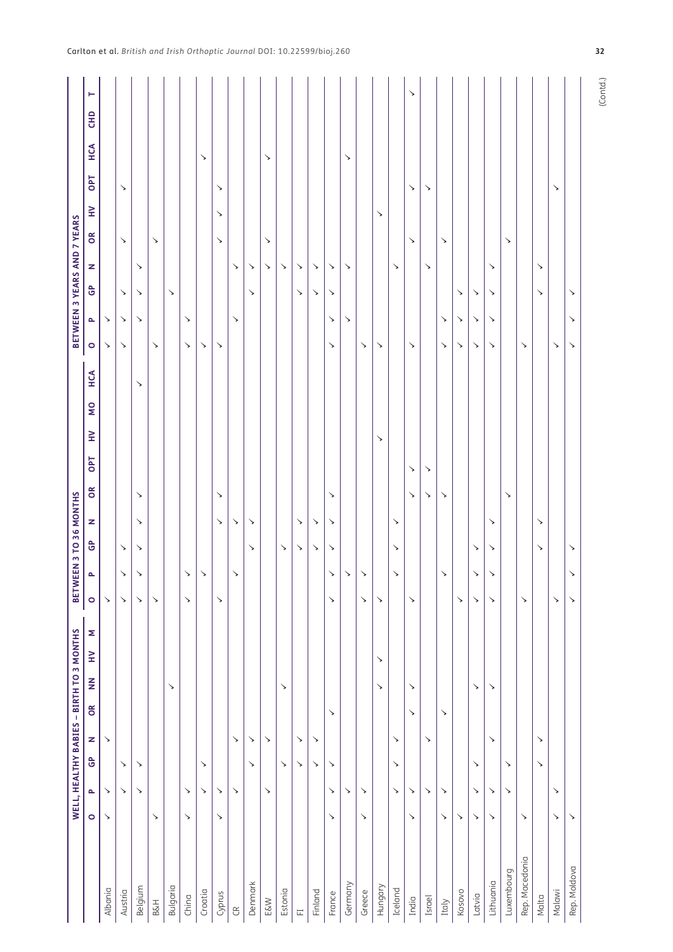|                     |            |              |              |              |              |               | WELL, HEALTHY BABIES - BIRTH TO 3 MONTHS |              |              | BETWEEN 3 TO 36 MONTHS |            |              |            |            |          |     |              | BETWEEN 3 YEARS AND 7 YEARS |              |              |              |            |            |     |          |  |
|---------------------|------------|--------------|--------------|--------------|--------------|---------------|------------------------------------------|--------------|--------------|------------------------|------------|--------------|------------|------------|----------|-----|--------------|-----------------------------|--------------|--------------|--------------|------------|------------|-----|----------|--|
|                     | $\bullet$  | Δ.           | ဇိ           | z            | $\mathsf{g}$ | $\frac{z}{z}$ | Σ<br>$\geq$                              | $\circ$      | $\mathbf{r}$ | င်္င                   | z          | õ            | <b>DPT</b> | $\geq$     | <b>S</b> | HCA | $\circ$      | Δ.                          | ဇိ           | z            | $\mathsf{g}$ | $\geq$     | <b>DPT</b> | HCA | ۳<br>E   |  |
| Albania             | ↘          | ↘            |              | ↘            |              |               |                                          | ↘            |              |                        |            |              |            |            |          |     | ↘            | $\searrow$                  |              |              |              |            |            |     |          |  |
| Austria             |            | ↘            | ↘            |              |              |               |                                          | ↘            | $\checkmark$ | ↘                      |            |              |            |            |          |     | $\checkmark$ | $\searrow$                  | $\searrow$   |              | ↘            |            | ↘          |     |          |  |
| Belgium             |            | ↘            | ↘            |              |              |               |                                          | ↘            | $\searrow$   | $\searrow$             | ↘          | ↘            |            |            |          | ↘   |              | $\searrow$                  | $\searrow$   | ↘            |              |            |            |     |          |  |
| B&H                 | $\searrow$ |              |              |              |              |               |                                          | ↘            |              |                        |            |              |            |            |          |     | $\searrow$   |                             |              |              | $\searrow$   |            |            |     |          |  |
| Bulgaria            |            |              |              |              |              | ↘             |                                          |              |              |                        |            |              |            |            |          |     |              |                             | $\searrow$   |              |              |            |            |     |          |  |
| China               | ↘          | ↘            |              |              |              |               |                                          | ↘            | $\searrow$   |                        |            |              |            |            |          |     | $\searrow$   | ↘                           |              |              |              |            |            |     |          |  |
| Croatia             |            | $\checkmark$ | ↘            |              |              |               |                                          |              | ↘            |                        |            |              |            |            |          |     | ↘            |                             |              |              |              |            |            | ↘   |          |  |
| Cyprus              | ↘          | ↘            |              |              |              |               |                                          | ↘            |              |                        | ↘          | ↘            |            |            |          |     | ↘            |                             |              |              | ↘            | ↘          | ↘          |     |          |  |
| $\mathfrak{S}$      |            | $\checkmark$ |              | $\checkmark$ |              |               |                                          |              | $\checkmark$ |                        | ↘          |              |            |            |          |     |              | $\checkmark$                |              | $\checkmark$ |              |            |            |     |          |  |
| Denmark             |            |              | $\checkmark$ | ↘            |              |               |                                          |              |              | ↘                      | ↘          |              |            |            |          |     |              |                             | $\checkmark$ | ↘            |              |            |            |     |          |  |
| E&W                 |            | ↘            |              | $\searrow$   |              |               |                                          |              |              |                        |            |              |            |            |          |     |              |                             |              | $\searrow$   | ↘            |            |            | ↘   |          |  |
| Estonia             |            |              | ↘            |              |              | ↘             |                                          |              |              | $\searrow$             |            |              |            |            |          |     |              |                             |              | $\searrow$   |              |            |            |     |          |  |
| $\overleftarrow{L}$ |            |              | ↘            | ↘            |              |               |                                          |              |              | $\searrow$             | ↘          |              |            |            |          |     |              |                             | $\checkmark$ | $\checkmark$ |              |            |            |     |          |  |
| Finland             |            |              | ↘            | ↘            |              |               |                                          |              |              | ↘                      | $\searrow$ |              |            |            |          |     |              |                             | ↘            | $\checkmark$ |              |            |            |     |          |  |
| France              | ↘          | ↘            | ↘            |              | ↘            |               |                                          | ↘            | ↘            | ↘                      | ↘          | ↘            |            |            |          |     | ↘            | ↘                           | ↘            | ↘            |              |            |            |     |          |  |
| Germany             |            | ↘            |              |              |              |               |                                          |              | ↘            |                        |            |              |            |            |          |     |              | ↘                           |              | ↘            |              |            |            | ↘   |          |  |
| Greece              | ↘          | $\checkmark$ |              |              |              |               |                                          | ↘            | $\searrow$   |                        |            |              |            |            |          |     | $\searrow$   |                             |              |              |              |            |            |     |          |  |
| Hungary             |            |              |              |              |              | $\searrow$    | $\searrow$                               | ↘            |              |                        |            |              |            | $\searrow$ |          |     | $\searrow$   |                             |              |              |              | $\searrow$ |            |     |          |  |
| Iceland             |            | ↘            | ↘            | ↘            |              |               |                                          |              | ↘            | ↘                      | ↘          |              |            |            |          |     |              |                             |              | $\checkmark$ |              |            |            |     |          |  |
| India               | ↘          | ↘            |              |              | ↘            | ↘             |                                          | ↘            |              |                        |            | ↘            | ↘          |            |          |     | ↘            |                             |              |              | ↘            |            | ↘          |     | ↘        |  |
| Israel              |            | ↘            |              | $\checkmark$ |              |               |                                          |              |              |                        |            | $\checkmark$ | ↘          |            |          |     |              |                             |              | ↘            |              |            | ↘          |     |          |  |
| Italy               | ↘          | ↘            |              |              | $\checkmark$ |               |                                          |              | ↘            |                        |            | ↘            |            |            |          |     | $\checkmark$ | $\checkmark$                |              |              | ↘            |            |            |     |          |  |
| Kosovo              | ↘          |              |              |              |              |               |                                          | ↘            |              |                        |            |              |            |            |          |     | ↘            | ↘                           | ↘            |              |              |            |            |     |          |  |
| Latvia              | ↘          | ↘            | $\searrow$   |              |              | ↘             |                                          | $\checkmark$ | $\checkmark$ | $\searrow$             |            |              |            |            |          |     | $\checkmark$ | ↘                           | $\searrow$   |              |              |            |            |     |          |  |
| Lithuania           | ↘          | ↘            |              | ↘            |              | ↘             |                                          | ↘            | ↘            | ↘                      | ↘          |              |            |            |          |     | $\checkmark$ | ↘                           | ↘            | ↘            |              |            |            |     |          |  |
| Luxembourg          |            | ↘            | ↘            |              |              |               |                                          |              |              |                        |            | ↘            |            |            |          |     |              |                             |              |              | ↘            |            |            |     |          |  |
| Rep. Macedonia      | ↘          |              |              |              |              |               |                                          | ↘            |              |                        |            |              |            |            |          |     | ↘            |                             |              |              |              |            |            |     |          |  |
| Malta               |            |              | ↘            | $\checkmark$ |              |               |                                          |              |              | ↘                      | ↘          |              |            |            |          |     |              |                             | ↘            | ↘            |              |            |            |     |          |  |
| Malawi              | ↘          | ↘            |              |              |              |               |                                          | $\checkmark$ |              |                        |            |              |            |            |          |     | $\checkmark$ |                             |              |              |              |            | ↘          |     |          |  |
| Rep. Moldova        | ↘          |              |              |              |              |               |                                          | ↘            | ↘            | ↘                      |            |              |            |            |          |     | $\checkmark$ | ↘                           | ↘            |              |              |            |            |     |          |  |
|                     |            |              |              |              |              |               |                                          |              |              |                        |            |              |            |            |          |     |              |                             |              |              |              |            |            |     | (Contd.) |  |

## Carlton et al. *British and Irish Orthoptic Journal* DOI: 10.22599/bioj.260 **32**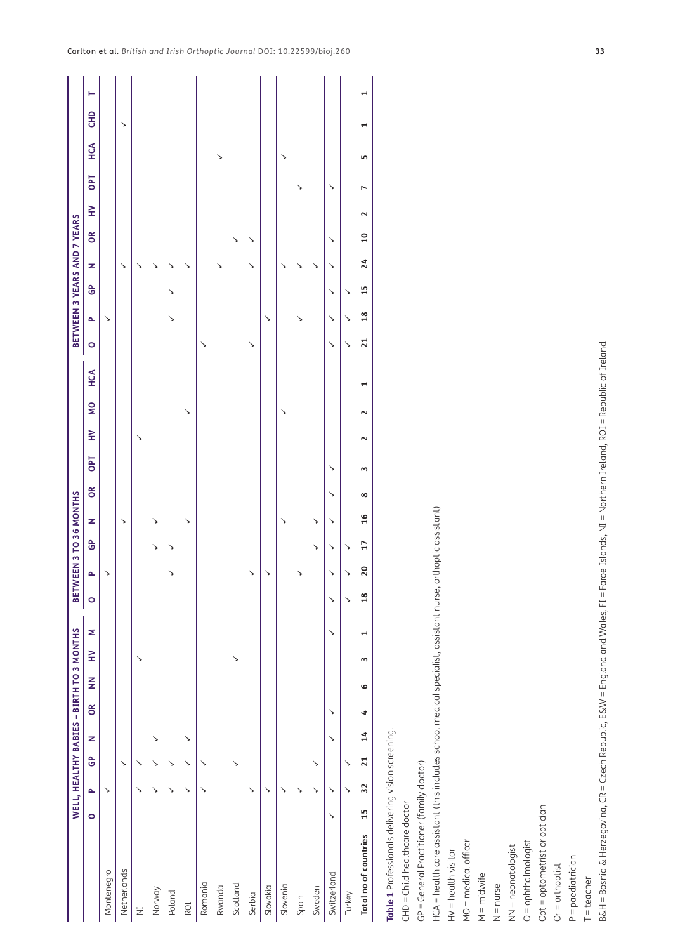|                                                                                                                                                |         | WELL, HEALTHY BABIES - BIRTH TO 3 MONTHS |    |    |    |               |              |                       |                |              | BETWEEN 3 TO 36 MONTHS |                |              |        |          |     |                 |               |                    |    | BETWEEN 3 YEARS AND 7 YEARS |        |                |     |                       |              |
|------------------------------------------------------------------------------------------------------------------------------------------------|---------|------------------------------------------|----|----|----|---------------|--------------|-----------------------|----------------|--------------|------------------------|----------------|--------------|--------|----------|-----|-----------------|---------------|--------------------|----|-----------------------------|--------|----------------|-----|-----------------------|--------------|
|                                                                                                                                                | $\circ$ | o.                                       | ဇိ | z  | õŔ | $\frac{z}{z}$ | $\geq$       | Σ                     | $\circ$        | $\sim$       | z<br>ဇိ                |                | OPT<br>õ     | $\geq$ | <b>S</b> | HCA | $\circ$         | a.            | $\mathbf{\hat{e}}$ | z  | õŘ                          | $\geq$ | <b>DPT</b>     | HCA | E                     | ۳            |
| Montenegro                                                                                                                                     |         | ↘                                        |    |    |    |               |              |                       |                | ↘            |                        |                |              |        |          |     |                 | ↘             |                    |    |                             |        |                |     |                       |              |
| Netherlands                                                                                                                                    |         |                                          | ↘  |    |    |               |              |                       |                |              | ↘                      |                |              |        |          |     |                 |               |                    | ↘  |                             |        |                |     | $\checkmark$          |              |
| $\Xi$                                                                                                                                          |         | ↘                                        | ↘  |    |    |               | ↘            |                       |                |              |                        |                |              | ↘      |          |     |                 |               |                    | ↘  |                             |        |                |     |                       |              |
| Norway                                                                                                                                         |         | ↘                                        | ↘  | ↘  |    |               |              |                       |                |              | ↘<br>↘                 |                |              |        |          |     |                 |               |                    | ↘  |                             |        |                |     |                       |              |
| Poland                                                                                                                                         |         | ↘                                        | ↘  |    |    |               |              |                       |                | ↘            | ↘                      |                |              |        |          |     |                 | ↘             | ↘                  | ↘  |                             |        |                |     |                       |              |
| ROI                                                                                                                                            |         | ↘                                        | ↘  | ↘  |    |               |              |                       |                |              | ↘                      |                |              |        | ↘        |     |                 |               |                    | ↘  |                             |        |                |     |                       |              |
| Romania                                                                                                                                        |         | ↘                                        | ↘  |    |    |               |              |                       |                |              |                        |                |              |        |          |     | ↘               |               |                    |    |                             |        |                |     |                       |              |
| Rwanda                                                                                                                                         |         |                                          |    |    |    |               |              |                       |                |              |                        |                |              |        |          |     |                 |               |                    | ↘  |                             |        |                | ↘   |                       |              |
| Scotland                                                                                                                                       |         |                                          | ↘  |    |    |               | ↘            |                       |                |              |                        |                |              |        |          |     |                 |               |                    |    | ↘                           |        |                |     |                       |              |
| Serbia                                                                                                                                         |         | ↘                                        |    |    |    |               |              |                       |                | ↘            |                        |                |              |        |          |     | ↘               |               |                    | ↘  | ↘                           |        |                |     |                       |              |
| Slovakia                                                                                                                                       |         | ↘                                        |    |    |    |               |              |                       |                | ↘            |                        |                |              |        |          |     |                 | ↘             |                    |    |                             |        |                |     |                       |              |
| Slovenia                                                                                                                                       |         | ↘                                        |    |    |    |               |              |                       |                |              | ↘                      |                |              |        | ↘        |     |                 |               |                    | ↘  |                             |        |                | ↘   |                       |              |
| Spain                                                                                                                                          |         | ↘                                        |    |    |    |               |              |                       |                | ↘            |                        |                |              |        |          |     |                 | ↘             |                    | ↘  |                             |        | ↘              |     |                       |              |
| Sweden                                                                                                                                         |         | ↘                                        | ↘  |    |    |               |              |                       |                |              | ↘<br>↘                 |                |              |        |          |     |                 |               |                    | ↘  |                             |        |                |     |                       |              |
| Switzerland                                                                                                                                    | ↘       | ↘                                        |    | ↘  | ↘  |               |              | ↘                     | ↘              | $\checkmark$ | ↘<br>↘                 | ↘              | ↘            |        |          |     | ↘               | ↘             | ↘                  | ↘  | ↘                           |        | ↘              |     |                       |              |
| Turkey                                                                                                                                         |         | ↘                                        | ↘  |    |    |               |              |                       | ↘              | $\checkmark$ | ↘                      |                |              |        |          |     | ↘               | ↘             | ↘                  |    |                             |        |                |     |                       |              |
| Total no of countries                                                                                                                          | 15      | 32                                       | 21 | 14 | 4  | G             | $\mathbf{c}$ | $\mathbf{\mathbf{r}}$ | $\frac{8}{10}$ | 20           | 17                     | $\infty$<br>16 | $\mathsf{c}$ | $\sim$ | $\sim$   | r   | $\overline{21}$ | $\frac{8}{1}$ | 15                 | 24 | $\overline{10}$             | $\sim$ | $\overline{ }$ | S   | $\mathbf{\mathbf{r}}$ | $\mathbf{r}$ |
| Table 1 Professionals delivering vision screening.                                                                                             |         |                                          |    |    |    |               |              |                       |                |              |                        |                |              |        |          |     |                 |               |                    |    |                             |        |                |     |                       |              |
| CHD = Child healthcare doctor                                                                                                                  |         |                                          |    |    |    |               |              |                       |                |              |                        |                |              |        |          |     |                 |               |                    |    |                             |        |                |     |                       |              |
| GP = General Practitioner (family doctor)                                                                                                      |         |                                          |    |    |    |               |              |                       |                |              |                        |                |              |        |          |     |                 |               |                    |    |                             |        |                |     |                       |              |
| HCA = health care assistant (this includes school medical specialist, assistant nurse, orthoptic assistant)                                    |         |                                          |    |    |    |               |              |                       |                |              |                        |                |              |        |          |     |                 |               |                    |    |                             |        |                |     |                       |              |
| $HV =$ health visitor                                                                                                                          |         |                                          |    |    |    |               |              |                       |                |              |                        |                |              |        |          |     |                 |               |                    |    |                             |        |                |     |                       |              |
| MO = medical officer                                                                                                                           |         |                                          |    |    |    |               |              |                       |                |              |                        |                |              |        |          |     |                 |               |                    |    |                             |        |                |     |                       |              |
| $M = midwrite$                                                                                                                                 |         |                                          |    |    |    |               |              |                       |                |              |                        |                |              |        |          |     |                 |               |                    |    |                             |        |                |     |                       |              |
| $N = nurse$                                                                                                                                    |         |                                          |    |    |    |               |              |                       |                |              |                        |                |              |        |          |     |                 |               |                    |    |                             |        |                |     |                       |              |
| $NN = neonatologist$                                                                                                                           |         |                                          |    |    |    |               |              |                       |                |              |                        |                |              |        |          |     |                 |               |                    |    |                             |        |                |     |                       |              |
| $O =$ ophthalmologist                                                                                                                          |         |                                          |    |    |    |               |              |                       |                |              |                        |                |              |        |          |     |                 |               |                    |    |                             |        |                |     |                       |              |
| Opt = optometrist or optician                                                                                                                  |         |                                          |    |    |    |               |              |                       |                |              |                        |                |              |        |          |     |                 |               |                    |    |                             |        |                |     |                       |              |
| $Or = orthoptist$                                                                                                                              |         |                                          |    |    |    |               |              |                       |                |              |                        |                |              |        |          |     |                 |               |                    |    |                             |        |                |     |                       |              |
| $P =$ paediatrician                                                                                                                            |         |                                          |    |    |    |               |              |                       |                |              |                        |                |              |        |          |     |                 |               |                    |    |                             |        |                |     |                       |              |
| $T = teacher$                                                                                                                                  |         |                                          |    |    |    |               |              |                       |                |              |                        |                |              |        |          |     |                 |               |                    |    |                             |        |                |     |                       |              |
| B&H = Bosnia & Herzegovina, CR = Czech Republic, E&W = England and Wales, FI = Faroe Islands, NI = Northern Ireland, ROI = Republic of Ireland |         |                                          |    |    |    |               |              |                       |                |              |                        |                |              |        |          |     |                 |               |                    |    |                             |        |                |     |                       |              |

<span id="page-6-0"></span>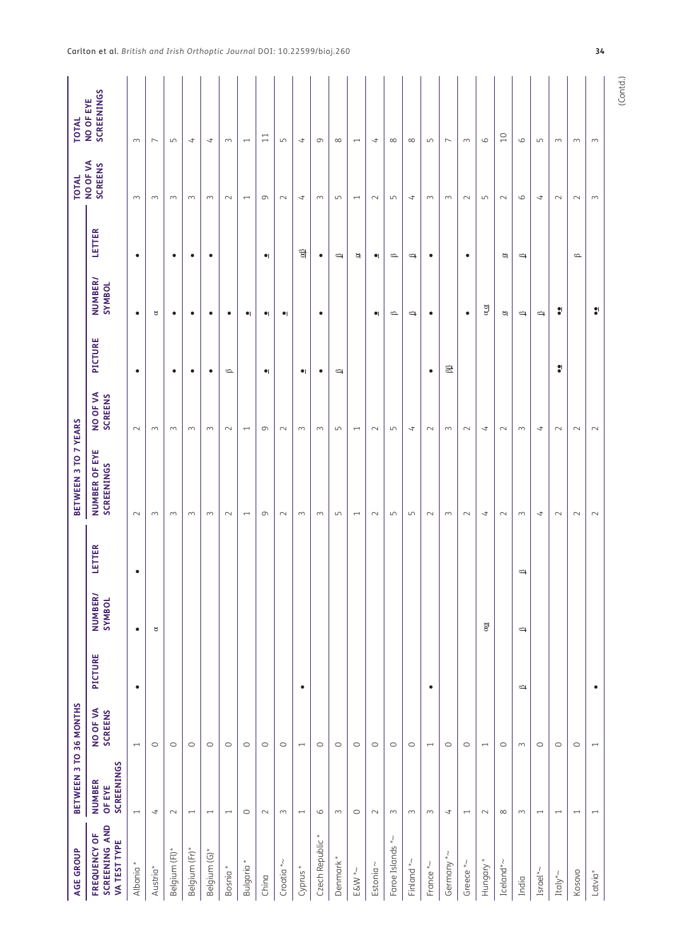| <b>AGE GROUP</b>                              | BETWEEN 3 TO 36 MONTHS                       |                          |                |                          |               | BETWEEN 3 TO 7 YEARS        |                            |               |                          |                                       | <b>TOTAL</b>               | <b>TOTAL</b>             |
|-----------------------------------------------|----------------------------------------------|--------------------------|----------------|--------------------------|---------------|-----------------------------|----------------------------|---------------|--------------------------|---------------------------------------|----------------------------|--------------------------|
| SCREENING AND<br>FREQUENCY OF<br>VA TEST TYPE | <b>SCREENINGS</b><br><b>NUMBER</b><br>OF EYE | NO OF VA<br>SCREENS      | <b>PICTURE</b> | <b>NUMBER/</b><br>SYMBOL | LETTER        | NUMBER OF EYE<br>SCREENINGS | NO OF VA<br><b>SCREENS</b> | PICTURE       | <b>NUMBER/</b><br>SYMBOL | LETTER                                | NO OF VA<br><b>SCREENS</b> | SCREENINGS<br>NO OF EYE  |
| Albania <sup>*</sup>                          | $\overline{\phantom{m}}$                     | $\overline{\phantom{m}}$ | $\bullet$      | $\bullet$                | $\bullet$     | $\sim$                      | $\sim$                     | $\bullet$     | $\bullet$                | $\bullet$                             | $\sim$                     | $\sim$                   |
| Austria <sup>*</sup>                          | $\overline{a}$                               | $\circ$                  |                | $\mathtt{g}$             |               | $\sim$                      | $\sim$                     |               | $\approx$                |                                       | $\sim$                     | $\overline{ }$           |
| Belgium (Fl)*                                 | $\sim$                                       | $\circ$                  |                |                          |               | $\sim$                      | $\sim$                     | $\bullet$     | $\bullet$                | $\bullet$                             | $\sim$                     | $\mathsf{L}\cap$         |
| Belgium (Fr)*                                 | $\overline{\phantom{0}}$                     | $\circ$                  |                |                          |               | $\sim$                      | $\sim$                     | $\bullet$     | $\bullet$                | $\bullet$                             | $\sim$                     | 4                        |
| Belgium (G)*                                  | $\overline{\phantom{0}}$                     | $\circ$                  |                |                          |               | $\sim$                      | $\sim$                     | $\bullet$     | $\bullet$                | $\bullet$                             | $\sim$                     | $\overline{a}$           |
| Bosnia <sup>*</sup>                           | $\overline{\phantom{0}}$                     | $\circ$                  |                |                          |               | $\sim$                      | $\sim$                     | $\spadesuit$  | $\bullet$                |                                       | $\sim$                     | $\sim$                   |
| Bulgaria <sup>*</sup>                         | $\circ$                                      | $\circ$                  |                |                          |               | $\overline{\phantom{0}}$    | $\overline{\phantom{0}}$   |               | $\bullet $               |                                       | $\overline{\phantom{0}}$   | $\overline{\phantom{0}}$ |
| China                                         | $\sim$                                       | $\circ$                  |                |                          |               | $\sigma$                    | $\sigma$                   | $\bullet$     | $\bullet $               | $\bullet $                            | $\sigma$                   | $\Box$                   |
| Croatia $*\sim$                               | $\sim$                                       | $\circ$                  |                |                          |               | $\sim$                      | $\sim$                     |               | $\bullet $               |                                       | $\sim$                     | $\mathsf{L}\cap$         |
| Cyprus*                                       | $\overline{\phantom{0}}$                     | $\overline{\phantom{0}}$ | $\bullet$      |                          |               | $\sim$                      | $\sim$                     | $\bullet $    |                          | $\underline{\alpha}\underline{\beta}$ | $\overline{a}$             | $\overline{a}$           |
| Czech Republic*                               | $\circ$                                      | $\circ$                  |                |                          |               | $\sim$                      | $\sim$                     | $\bullet$     | $\bullet$                | $\bullet$                             | $\sim$                     | $\sigma$                 |
| Denmark*                                      | $\sim$                                       | $\circ$                  |                |                          |               | $\mathsf{L}\cap$            | $\mathsf{L}\cap$           | $\Rightarrow$ |                          | $\Rightarrow$                         | $\overline{5}$             | $\infty$                 |
| $\textsf{ESW}$ *~                             | $\circ$                                      | $\circ$                  |                |                          |               | $\overline{\phantom{m}}$    | $\overline{\phantom{0}}$   |               |                          | Ø                                     | $\overline{\phantom{0}}$   | $\overline{\phantom{m}}$ |
| Estonia $\sim$                                | $\sim$                                       | $\circ$                  |                |                          |               | $\sim$                      | $\sim$                     |               | $\bullet $               | $\bullet $                            | $\sim$                     | $\overline{a}$           |
| Faroe Islands *~                              | $\sim$                                       | $\circ$                  |                |                          |               | $\mathsf{L}\cap$            | $\mathsf{L}\cap$           |               | $\spadesuit$             | $\spadesuit$                          | $\overline{5}$             | $\infty$                 |
| Finland $*\sim$                               | $\sim$                                       | $\circ$                  |                |                          |               | $\mathsf{L}\cap$            | $\overline{\phantom{a}}$   |               | $\Rightarrow$            | $\Rightarrow$                         | $\overline{\mathcal{L}}$   | $\infty$                 |
| France*~                                      | $\sim$                                       | $\overline{\phantom{m}}$ | $\bullet$      |                          |               | $\sim$                      | $\sim$                     | $\bullet$     | $\bullet$                | $\bullet$                             | $\sim$                     | $\mathsf{L}\cap$         |
| Germany *~                                    | $\rightarrow$                                | $\circ$                  |                |                          |               | $\sim$                      | $\sim$                     | $\beta\beta$  |                          |                                       | $\sim$                     | $\overline{\phantom{0}}$ |
| Greece *~                                     | $\overline{\phantom{0}}$                     | $\circ$                  |                |                          |               | $\sim$                      | $\sim$                     |               | $\bullet$                | $\bullet$                             | $\sim$                     | $\sim$                   |
| Hungary*                                      | $\sim$                                       | $\overline{\phantom{m}}$ |                | $\alpha\alpha$           |               | $\overline{\phantom{a}}$    | $\overline{\mathcal{L}}$   |               | $\alpha \alpha$          |                                       | $\overline{5}$             | $\circ$                  |
| Iceland*~                                     | $\infty$                                     | $\circ$                  |                |                          |               | $\sim$                      | $\sim$                     |               | ø                        | Ø                                     | $\sim$                     | $\overline{C}$           |
| India                                         | $\sim$                                       | $\sim$                   | $\Rightarrow$  | $\Rightarrow$            | $\Rightarrow$ | $\sim$                      | $\sim$                     |               | $\Rightarrow$            | $\Rightarrow$                         | $\circ$                    | $\circ$                  |
| Israel*~                                      | $\overline{\phantom{m}}$                     | $\circ$                  |                |                          |               | $\overline{\phantom{a}}$    | $\overline{\phantom{a}}$   |               | $\Rightarrow$            |                                       | $\overline{\phantom{a}}$   | $\overline{5}$           |
| Italy* $\sim$                                 | $\overline{\phantom{0}}$                     | $\circ$                  |                |                          |               | $\sim$                      | $\sim$                     | $\bullet$     | $\bullet$                |                                       | $\sim$                     | $\sim$                   |
| Kosovo                                        | $\overline{\phantom{0}}$                     | $\circ$                  |                |                          |               | $\sim$                      | $\sim$                     |               |                          | $\spadesuit$                          | $\sim$                     | $\sim$                   |
| $Latvia*$                                     | $\overline{\phantom{a}}$                     | $\overline{\phantom{0}}$ | $\bullet$      |                          |               | $\sim$                      | $\sim$                     |               | $\bullet$                |                                       | $\sim$                     | $\sim$                   |
|                                               |                                              |                          |                |                          |               |                             |                            |               |                          |                                       |                            |                          |

(Contd.)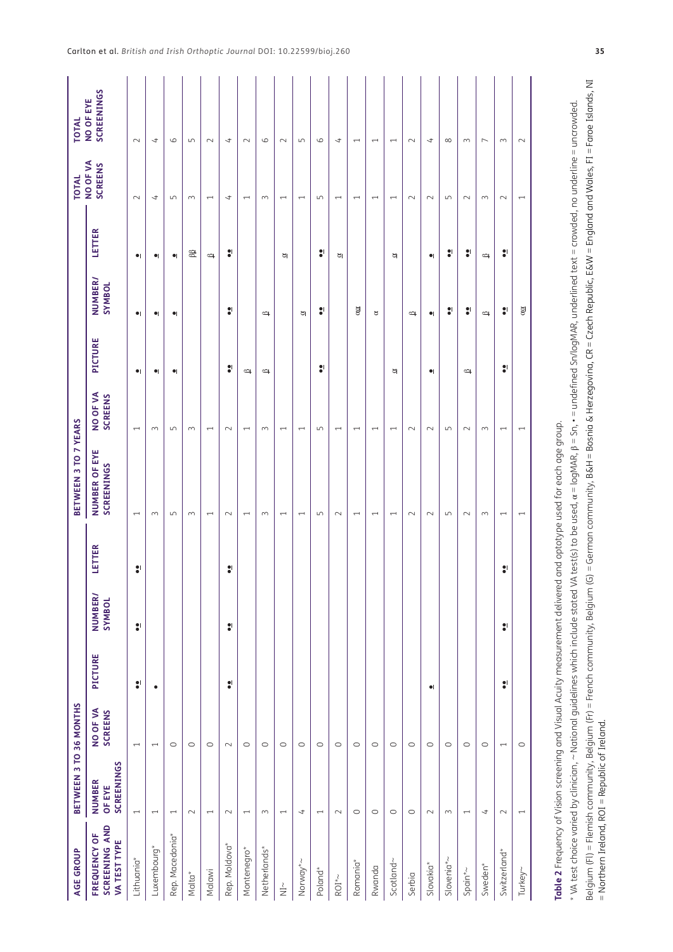| <b>AGE GROUP</b>                                                              | BETWEEN 3 TO 36 MONTHS                       |                            |           |                          |           | BETWEEN 3 TO 7 YEARS                                                                                                                                                                                                                                            |                            |               |                          |               | <b>TOTAL</b>               | <b>TOTAL</b>             |
|-------------------------------------------------------------------------------|----------------------------------------------|----------------------------|-----------|--------------------------|-----------|-----------------------------------------------------------------------------------------------------------------------------------------------------------------------------------------------------------------------------------------------------------------|----------------------------|---------------|--------------------------|---------------|----------------------------|--------------------------|
| SCREENING AND<br>FREQUENCY OF<br>VA TEST TYPE                                 | <b>SCREENINGS</b><br><b>NUMBER</b><br>OF EYE | NO OF VA<br><b>SCREENS</b> | PICTURE   | <b>NUMBER/</b><br>SYMBOL | LETTER    | NUMBER OF EYE<br>SCREENINGS                                                                                                                                                                                                                                     | NO OF VA<br><b>SCREENS</b> | PICTURE       | <b>NUMBER/</b><br>SYMBOL | LETTER        | NO OF VA<br><b>SCREENS</b> | SCREENINGS<br>NO OF EYE  |
| Lithuania*                                                                    | $\overline{\phantom{0}}$                     | $\overline{\phantom{0}}$   | $\bullet$ | $\bullet$                | :         | $\overline{\phantom{0}}$                                                                                                                                                                                                                                        | $\overline{ }$             | $\bullet $    | $\bullet $               | $\bullet $    | $\sim$                     | $\sim$                   |
| Luxembourg*                                                                   | $\overline{\phantom{0}}$                     | $\overline{ }$             | $\bullet$ |                          |           | $\sim$                                                                                                                                                                                                                                                          | $\sim$                     | $\bullet $    | $\bullet $               | $\bullet $    | ෑ                          | ෑ                        |
| Rep. Macedonia*                                                               | $\overline{\phantom{0}}$                     | $\circ$                    |           |                          |           | 5                                                                                                                                                                                                                                                               | $\overline{L}$             | $\bullet$     | $\bullet $               | $\bullet$     | $\overline{L}$             | 6                        |
| Malta*                                                                        | $\sim$                                       | $\circ$                    |           |                          |           | $\sim$                                                                                                                                                                                                                                                          | $\sim$                     |               |                          | 68            | $\sim$                     | S                        |
| Malawi                                                                        | $\overline{\phantom{0}}$                     | $\circ$                    |           |                          |           | $\overline{\phantom{0}}$                                                                                                                                                                                                                                        | $\overline{\phantom{0}}$   |               |                          | $\Rightarrow$ | $\overline{\phantom{0}}$   | $\sim$                   |
| Rep. Moldova*                                                                 | $\sim$                                       | $\sim$                     | $\bullet$ | $\bullet$                | $\bullet$ | $\sim$                                                                                                                                                                                                                                                          | $\sim$                     | $\bullet$     | $\bullet$                | ÷             | ෑ                          | ⇉                        |
| Montenegro*                                                                   | $\overline{\phantom{0}}$                     | $\circ$                    |           |                          |           | $\overline{\phantom{0}}$                                                                                                                                                                                                                                        | $\overline{\phantom{0}}$   | $\Rightarrow$ |                          |               | $\overline{\phantom{0}}$   | $\sim$                   |
| Netherlands*                                                                  | $\sim$                                       | $\circ$                    |           |                          |           | $\sim$                                                                                                                                                                                                                                                          | $\sim$                     | $\approx$     | $\Rightarrow$            |               | $\sim$                     | $\circ$                  |
| $\stackrel{\wr }{\Xi }$                                                       | $\overline{\phantom{0}}$                     | $\circ$                    |           |                          |           | $\overline{\phantom{0}}$                                                                                                                                                                                                                                        | $\overline{\phantom{m}}$   |               |                          | Ø             | $\overline{\phantom{0}}$   | $\sim$                   |
| Norway*~                                                                      | $\overline{t}$                               | $\circ$                    |           |                          |           | $\overline{ }$                                                                                                                                                                                                                                                  | $\overline{\phantom{0}}$   |               | ø                        |               | $\overline{ }$             | $\mathsf{L}\cap$         |
| Poland*                                                                       | $\overline{\phantom{0}}$                     | $\circ$                    |           |                          |           | $\overline{5}$                                                                                                                                                                                                                                                  | $\overline{5}$             | $\bullet$     | $\bullet$                | $\bullet$     | S                          | 6                        |
| $ROI^*$ ~                                                                     | $\sim$                                       | $\circ$                    |           |                          |           | $\sim$                                                                                                                                                                                                                                                          | $\overline{\phantom{0}}$   |               |                          | ø             | $\overline{\phantom{0}}$   | 4                        |
| Romania*                                                                      | $\circ$                                      | $\circ$                    |           |                          |           | $\overline{\phantom{0}}$                                                                                                                                                                                                                                        | $\overline{ }$             |               | $\alpha$                 |               | $\overline{\phantom{0}}$   | $\overline{\phantom{0}}$ |
| Rwanda                                                                        | $\circ$                                      | $\circ$                    |           |                          |           | $\overline{\phantom{0}}$                                                                                                                                                                                                                                        | $\overline{\phantom{0}}$   |               | $\approx$                |               | $\overline{\phantom{0}}$   | $\overline{\phantom{0}}$ |
| Scotland~                                                                     | $\circ$                                      | $\circ$                    |           |                          |           | $\overline{ }$                                                                                                                                                                                                                                                  | $\overline{ }$             | R             |                          | ø             | $\overline{ }$             | $\overline{\phantom{0}}$ |
| Serbia                                                                        | $\circ$                                      | $\circ$                    |           |                          |           | $\sim$                                                                                                                                                                                                                                                          | $\sim$                     |               | $\Rightarrow$            |               | $\sim$                     | $\sim$                   |
| Slovakia*                                                                     | $\sim$                                       | $\circ$                    | $\bullet$ |                          |           | $\sim$                                                                                                                                                                                                                                                          | $\sim$                     | $\bullet$     | $\bullet $               | $\bullet$     | $\sim$                     | $\overline{ }$           |
| Slovenia*~                                                                    | $\sim$                                       | $\circ$                    |           |                          |           | S                                                                                                                                                                                                                                                               | S                          |               | H                        | $\bullet$     | $\overline{5}$             | $\infty$                 |
| Spain* $\sim$                                                                 | $\overline{ }$                               | $\circ$                    |           |                          |           | $\sim$                                                                                                                                                                                                                                                          | $\sim$                     | $\approx$     | ÷                        | 8             | $\sim$                     | $\sim$                   |
| Sweden*                                                                       | $\overline{\phantom{a}}$                     | $\circ$                    |           |                          |           | $\sim$                                                                                                                                                                                                                                                          | $\sim$                     |               | $\Rightarrow$            | $\Rightarrow$ | $\sim$                     | $\overline{ }$           |
| Switzerland*                                                                  | $\sim$                                       | $\overline{\phantom{0}}$   | $\bullet$ | $\bullet$                | H         | $\overline{\phantom{0}}$                                                                                                                                                                                                                                        | $\overline{\phantom{0}}$   | $\bullet$     | ÷                        | ÷             | $\sim$                     | $\sim$                   |
| Turkey~                                                                       | $\overline{ }$                               | $\circ$                    |           |                          |           | $\overline{\phantom{0}}$                                                                                                                                                                                                                                        | $\overline{\phantom{0}}$   |               | $\alpha$                 |               | $\overline{\phantom{0}}$   | $\sim$                   |
| Table 2 Frequency of Vision screening and Visual Acuity measurement delivered |                                              |                            |           |                          |           | * VA test choice varied by clinician, ~ National guidelines which include stated VA test(s) to be used, $\alpha$ = logMAR, $\beta$ = Sn, + = undefined Sn/logMAR, underlined text = crowded, no underline = uncrowded.<br>and optotype used for each age group. |                            |               |                          |               |                            |                          |
| = Northern Ireland, ROI = Republic of Ireland.                                |                                              |                            |           |                          |           | Belgium (Fl) = Flemish community, Belgium (Fr) = French community, Belgium (G) = German community, B&H = Bosnia & Herzegovina, CR = Czech Republic, E&W = England and Wales, FI = Faroe Islands, NI                                                             |                            |               |                          |               |                            |                          |

<span id="page-8-0"></span>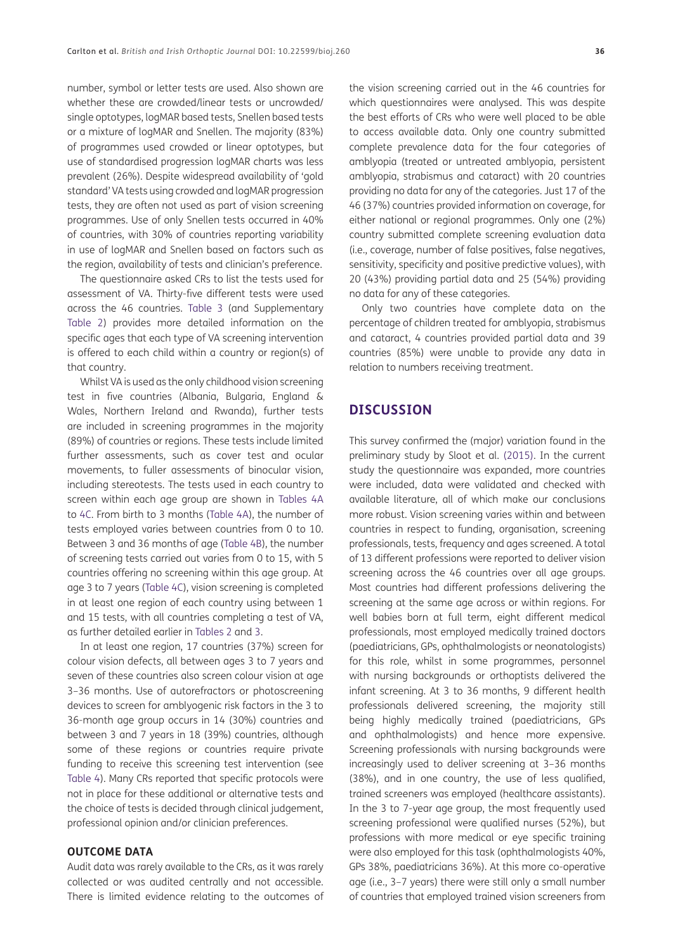number, symbol or letter tests are used. Also shown are whether these are crowded/linear tests or uncrowded/ single optotypes, logMAR based tests, Snellen based tests or a mixture of logMAR and Snellen. The majority (83%) of programmes used crowded or linear optotypes, but use of standardised progression logMAR charts was less prevalent (26%). Despite widespread availability of 'gold standard' VA tests using crowded and logMAR progression tests, they are often not used as part of vision screening programmes. Use of only Snellen tests occurred in 40% of countries, with 30% of countries reporting variability in use of logMAR and Snellen based on factors such as the region, availability of tests and clinician's preference.

The questionnaire asked CRs to list the tests used for assessment of VA. Thirty-five different tests were used across the 46 countries. [Table 3](#page-10-0) (and Supplementary [Table 2](#page-8-0)) provides more detailed information on the specific ages that each type of VA screening intervention is offered to each child within a country or region(s) of that country.

Whilst VA is used as the only childhood vision screening test in five countries (Albania, Bulgaria, England & Wales, Northern Ireland and Rwanda), further tests are included in screening programmes in the majority (89%) of countries or regions. These tests include limited further assessments, such as cover test and ocular movements, to fuller assessments of binocular vision, including stereotests. The tests used in each country to screen within each age group are shown in [Tables 4A](#page-14-0) to [4C.](#page-14-0) From birth to 3 months [\(Table 4A](#page-14-0)), the number of tests employed varies between countries from 0 to 10. Between 3 and 36 months of age [\(Table 4B\)](#page-14-0), the number of screening tests carried out varies from 0 to 15, with 5 countries offering no screening within this age group. At age 3 to 7 years [\(Table 4C\)](#page-14-0), vision screening is completed in at least one region of each country using between 1 and 15 tests, with all countries completing a test of VA, as further detailed earlier in [Tables 2](#page-8-0) and [3.](#page-10-0)

In at least one region, 17 countries (37%) screen for colour vision defects, all between ages 3 to 7 years and seven of these countries also screen colour vision at age 3–36 months. Use of autorefractors or photoscreening devices to screen for amblyogenic risk factors in the 3 to 36-month age group occurs in 14 (30%) countries and between 3 and 7 years in 18 (39%) countries, although some of these regions or countries require private funding to receive this screening test intervention (see [Table 4\)](#page-14-0). Many CRs reported that specific protocols were not in place for these additional or alternative tests and the choice of tests is decided through clinical judgement, professional opinion and/or clinician preferences.

#### **OUTCOME DATA**

Audit data was rarely available to the CRs, as it was rarely collected or was audited centrally and not accessible. There is limited evidence relating to the outcomes of

the vision screening carried out in the 46 countries for which questionnaires were analysed. This was despite the best efforts of CRs who were well placed to be able to access available data. Only one country submitted complete prevalence data for the four categories of amblyopia (treated or untreated amblyopia, persistent amblyopia, strabismus and cataract) with 20 countries providing no data for any of the categories. Just 17 of the 46 (37%) countries provided information on coverage, for either national or regional programmes. Only one (2%) country submitted complete screening evaluation data (i.e., coverage, number of false positives, false negatives, sensitivity, specificity and positive predictive values), with 20 (43%) providing partial data and 25 (54%) providing no data for any of these categories.

Only two countries have complete data on the percentage of children treated for amblyopia, strabismus and cataract, 4 countries provided partial data and 39 countries (85%) were unable to provide any data in relation to numbers receiving treatment.

## **DISCUSSION**

This survey confirmed the (major) variation found in the preliminary study by Sloot et al. [\(2015](#page-19-4)). In the current study the questionnaire was expanded, more countries were included, data were validated and checked with available literature, all of which make our conclusions more robust. Vision screening varies within and between countries in respect to funding, organisation, screening professionals, tests, frequency and ages screened. A total of 13 different professions were reported to deliver vision screening across the 46 countries over all age groups. Most countries had different professions delivering the screening at the same age across or within regions. For well babies born at full term, eight different medical professionals, most employed medically trained doctors (paediatricians, GPs, ophthalmologists or neonatologists) for this role, whilst in some programmes, personnel with nursing backgrounds or orthoptists delivered the infant screening. At 3 to 36 months, 9 different health professionals delivered screening, the majority still being highly medically trained (paediatricians, GPs and ophthalmologists) and hence more expensive. Screening professionals with nursing backgrounds were increasingly used to deliver screening at 3–36 months (38%), and in one country, the use of less qualified, trained screeners was employed (healthcare assistants). In the 3 to 7-year age group, the most frequently used screening professional were qualified nurses (52%), but professions with more medical or eye specific training were also employed for this task (ophthalmologists 40%, GPs 38%, paediatricians 36%). At this more co-operative age (i.e., 3–7 years) there were still only a small number of countries that employed trained vision screeners from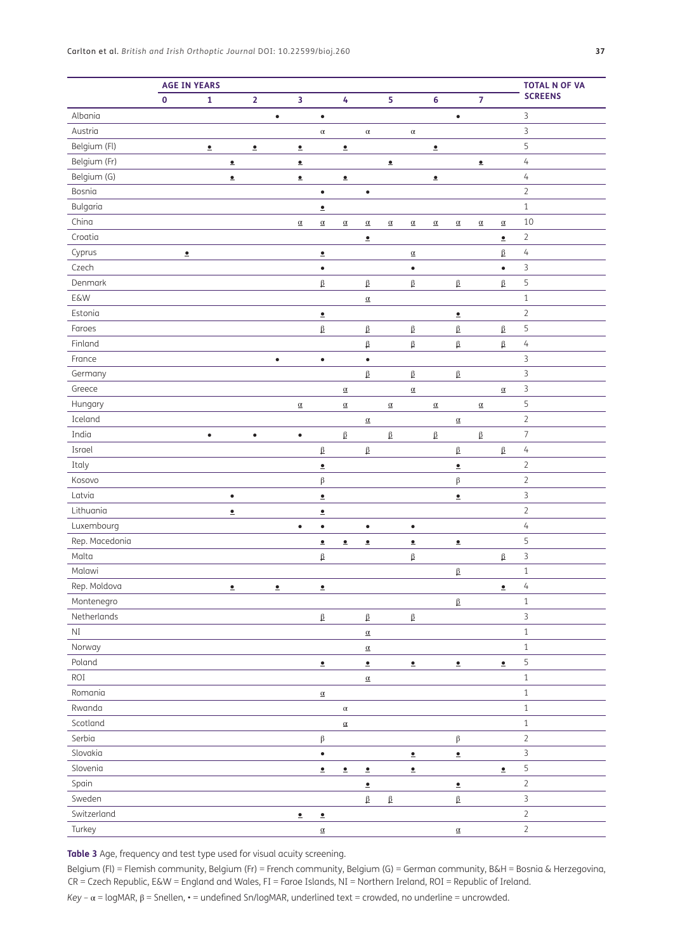|                |           | <b>AGE IN YEARS</b> |                       |                |           |                       |                       |                      |                             |                         |                       |                      |                       |                      |                       | <b>TOTAL N OF VA</b>     |
|----------------|-----------|---------------------|-----------------------|----------------|-----------|-----------------------|-----------------------|----------------------|-----------------------------|-------------------------|-----------------------|----------------------|-----------------------|----------------------|-----------------------|--------------------------|
|                | $\pmb{0}$ | 1                   |                       | $\overline{2}$ |           | 3                     |                       | 4                    |                             | $\overline{\mathbf{5}}$ |                       | 6                    |                       | $\overline{7}$       |                       | <b>SCREENS</b>           |
| Albania        |           |                     |                       |                | $\bullet$ |                       | $\bullet$             |                      |                             |                         |                       |                      | $\bullet$             |                      |                       | 3                        |
| Austria        |           |                     |                       |                |           |                       | $\alpha$              |                      | $\alpha$                    |                         | $\alpha$              |                      |                       |                      |                       | $\overline{3}$           |
| Belgium (Fl)   |           | $\bullet$           |                       | $\bullet$      |           | $\underline{\bullet}$ |                       | $\bullet$            |                             |                         |                       | $\bullet$            |                       |                      |                       | 5                        |
| Belgium (Fr)   |           |                     | $\underline{\bullet}$ |                |           | $\bullet$             |                       |                      |                             | $\bullet$               |                       |                      |                       | $\bullet$            |                       | $\sqrt{4}$               |
| Belgium (G)    |           |                     | $\bullet$             |                |           | $\bullet$             |                       | $\bullet$            |                             |                         |                       | $\bullet$            |                       |                      |                       | $\sqrt{4}$               |
| Bosnia         |           |                     |                       |                |           |                       | $\bullet$             |                      | $\bullet$                   |                         |                       |                      |                       |                      |                       | $\sqrt{2}$               |
| Bulgaria       |           |                     |                       |                |           |                       | $\bullet$             |                      |                             |                         |                       |                      |                       |                      |                       | $\,1\,$                  |
| China          |           |                     |                       |                |           | $\underline{\alpha}$  | $\underline{\alpha}$  | $\underline{\alpha}$ | $\underline{\alpha}$        | $\underline{\alpha}$    | $\underline{\alpha}$  | $\underline{\alpha}$ | $\underline{\alpha}$  | $\underline{\alpha}$ | $\underline{\alpha}$  | 10                       |
| Croatia        |           |                     |                       |                |           |                       |                       |                      | $\bullet$                   |                         |                       |                      |                       |                      | $\underline{\bullet}$ | $\overline{2}$           |
| Cyprus         | $\bullet$ |                     |                       |                |           |                       | $\underline{\bullet}$ |                      |                             |                         | $\underline{\alpha}$  |                      |                       |                      | $\beta$               | $\sqrt{4}$               |
| Czech          |           |                     |                       |                |           |                       | $\bullet$             |                      |                             |                         | $\bullet$             |                      |                       |                      | $\bullet$             | $\mathsf 3$              |
| Denmark        |           |                     |                       |                |           |                       | $\beta$               |                      | $\beta$                     |                         | $\beta$               |                      | $\beta$               |                      | $\beta$               | 5                        |
| <b>E&amp;W</b> |           |                     |                       |                |           |                       |                       |                      | $\underline{\alpha}$        |                         |                       |                      |                       |                      |                       | $\,1\,$                  |
| Estonia        |           |                     |                       |                |           |                       | $\underline{\bullet}$ |                      |                             |                         |                       |                      | $\underline{\bullet}$ |                      |                       | $\sqrt{2}$               |
| Faroes         |           |                     |                       |                |           |                       | $\beta$               |                      | $\beta$                     |                         | $\beta$               |                      | $\beta$               |                      | $\beta$               | 5                        |
| Finland        |           |                     |                       |                |           |                       |                       |                      | $\beta$                     |                         | $\beta$               |                      | $\beta$               |                      | $\beta$               | $\sqrt{4}$               |
| France         |           |                     |                       |                | $\bullet$ |                       | $\bullet$             |                      | $\bullet$                   |                         |                       |                      |                       |                      |                       | $\mathsf 3$              |
| Germany        |           |                     |                       |                |           |                       |                       |                      | $\beta$                     |                         | $\underline{\beta}$   |                      | $\beta$               |                      |                       | $\mathsf 3$              |
| Greece         |           |                     |                       |                |           |                       |                       | $\underline{\alpha}$ |                             |                         | $\underline{\alpha}$  |                      |                       |                      | $\underline{\alpha}$  | $\mathsf 3$              |
| Hungary        |           |                     |                       |                |           | $\underline{\alpha}$  |                       | $\underline{\alpha}$ |                             | $\underline{\alpha}$    |                       | $\underline{\alpha}$ |                       | $\underline{\alpha}$ |                       | 5                        |
| Iceland        |           |                     |                       |                |           |                       |                       |                      | $\underline{\alpha}$        |                         |                       |                      | $\underline{\alpha}$  |                      |                       | $\sqrt{2}$               |
| India          |           | $\bullet$           |                       | $\bullet$      |           | $\bullet$             |                       | $\beta$              |                             | β                       |                       | $\beta$              |                       | $\beta$              |                       | $\overline{\phantom{a}}$ |
| Israel         |           |                     |                       |                |           |                       | $\beta$               |                      | $\beta$                     |                         |                       |                      | $\beta$               |                      | $\underline{\beta}$   | $\overline{4}$           |
| Italy          |           |                     |                       |                |           |                       | $\bullet$             |                      |                             |                         |                       |                      | $\bullet$             |                      |                       | $\sqrt{2}$               |
| Kosovo         |           |                     |                       |                |           |                       | $\beta$               |                      |                             |                         |                       |                      | $\boldsymbol{\beta}$  |                      |                       | $\sqrt{2}$               |
| Latvia         |           |                     | $\bullet$             |                |           |                       | $\underline{\bullet}$ |                      |                             |                         |                       |                      | $\underline{\bullet}$ |                      |                       | $\overline{3}$           |
| Lithuania      |           |                     | $\bullet$             |                |           |                       | $\bullet$             |                      |                             |                         |                       |                      |                       |                      |                       | $\sqrt{2}$               |
| Luxembourg     |           |                     |                       |                |           | $\bullet$             | $\bullet$             |                      | $\bullet$                   |                         | $\bullet$             |                      |                       |                      |                       | $\sqrt{4}$               |
| Rep. Macedonia |           |                     |                       |                |           |                       | $\underline{\bullet}$ | $\bullet$            | $\hat{\textbf{z}}$          |                         | $\bullet$             |                      | $\hat{\mathbf{z}}$    |                      |                       | 5                        |
| Malta          |           |                     |                       |                |           |                       | $\beta$               |                      |                             |                         | $\beta$               |                      |                       |                      | $\beta$               | $\overline{3}$           |
| Malawi         |           |                     |                       |                |           |                       |                       |                      |                             |                         |                       |                      | $\beta$               |                      |                       | $\,1\,$                  |
| Rep. Moldova   |           |                     | $\bullet$             |                | $\bullet$ |                       | $\bullet$             |                      |                             |                         |                       |                      |                       |                      | $\bullet$             | 4                        |
| Montenegro     |           |                     |                       |                |           |                       |                       |                      |                             |                         |                       |                      | $\beta$               |                      |                       | $\,1\,$                  |
| Netherlands    |           |                     |                       |                |           |                       | $\underline{\beta}$   |                      | $\underline{\beta}$         |                         | $\underline{\beta}$   |                      |                       |                      |                       | $\overline{3}$           |
| $\rm NI$       |           |                     |                       |                |           |                       |                       |                      | $\underline{\alpha}$        |                         |                       |                      |                       |                      |                       | $\,1\,$                  |
| Norway         |           |                     |                       |                |           |                       |                       |                      | $\underline{\alpha}$        |                         |                       |                      |                       |                      |                       | $\,1\,$                  |
| Poland         |           |                     |                       |                |           |                       | $\bullet$             |                      | $\bullet$                   |                         | $\underline{\bullet}$ |                      | $\bullet$             |                      | $\underline{\bullet}$ | 5                        |
| ROI            |           |                     |                       |                |           |                       |                       |                      | $\pmb{\alpha}$              |                         |                       |                      |                       |                      |                       | $\,1\,$                  |
| Romania        |           |                     |                       |                |           |                       | $\pmb{\alpha}$        |                      |                             |                         |                       |                      |                       |                      |                       | $\,1\,$                  |
| Rwanda         |           |                     |                       |                |           |                       |                       | $\alpha$             |                             |                         |                       |                      |                       |                      |                       | $\,1\,$                  |
| Scotland       |           |                     |                       |                |           |                       |                       | $\underline{\alpha}$ |                             |                         |                       |                      |                       |                      |                       | $\,1\,$                  |
| Serbia         |           |                     |                       |                |           |                       | $\beta$               |                      |                             |                         |                       |                      | $\beta$               |                      |                       | $\overline{2}$           |
| Slovakia       |           |                     |                       |                |           |                       | $\bullet$             |                      |                             |                         | $\bullet$             |                      | $\bullet$             |                      |                       | $\overline{3}$           |
| Slovenia       |           |                     |                       |                |           |                       | $\bullet$             | $\bullet$            | $\pmb{\underline{\bullet}}$ |                         | $\bullet$             |                      |                       |                      | $\bullet$             | 5                        |
| Spain          |           |                     |                       |                |           |                       |                       |                      | $\bullet$                   |                         |                       |                      | $\bullet$             |                      |                       | $\overline{2}$           |
| Sweden         |           |                     |                       |                |           |                       |                       |                      | $\underline{\beta}$         | $\beta$                 |                       |                      | $\beta$               |                      |                       | $\overline{3}$           |
| Switzerland    |           |                     |                       |                |           | $\bullet$             | $\underline{\bullet}$ |                      |                             |                         |                       |                      |                       |                      |                       | $\overline{2}$           |
| Turkey         |           |                     |                       |                |           |                       | $\underline{\alpha}$  |                      |                             |                         |                       |                      | $\underline{\alpha}$  |                      |                       | $\overline{2}$           |

<span id="page-10-0"></span>**Table 3** Age, frequency and test type used for visual acuity screening.

Belgium (Fl) = Flemish community, Belgium (Fr) = French community, Belgium (G) = German community, B&H = Bosnia & Herzegovina, CR = Czech Republic, E&W = England and Wales, FI = Faroe Islands, NI = Northern Ireland, ROI = Republic of Ireland.

*Key* – α = logMAR, β = Snellen, • = undefined Sn/logMAR, underlined text = crowded, no underline = uncrowded.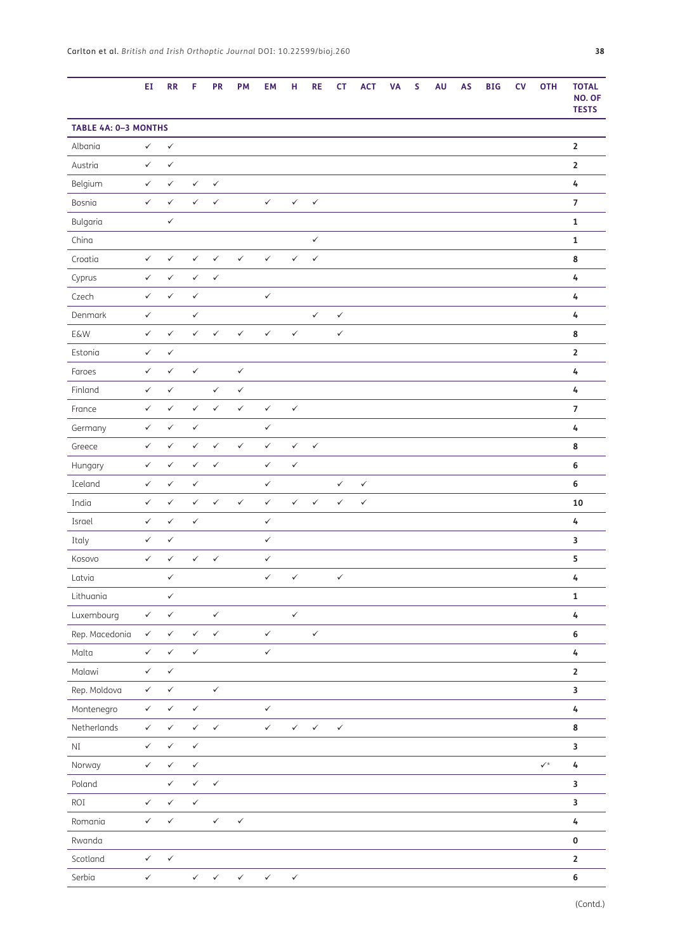|                      | ΕI           | <b>RR</b>    | F            | <b>PR</b>    | <b>PM</b>    | EM           | н            | <b>RE</b>    | <b>CT</b>    | <b>ACT</b>   | VA | S | AU | <b>AS</b> | <b>BIG</b> | CV | <b>OTH</b>           | <b>TOTAL</b><br>NO. OF<br><b>TESTS</b> |
|----------------------|--------------|--------------|--------------|--------------|--------------|--------------|--------------|--------------|--------------|--------------|----|---|----|-----------|------------|----|----------------------|----------------------------------------|
| TABLE 4A: 0-3 MONTHS |              |              |              |              |              |              |              |              |              |              |    |   |    |           |            |    |                      |                                        |
| Albania              | $\checkmark$ | $\checkmark$ |              |              |              |              |              |              |              |              |    |   |    |           |            |    |                      | 2                                      |
| Austria              | $\checkmark$ | $\checkmark$ |              |              |              |              |              |              |              |              |    |   |    |           |            |    |                      | $\mathbf{2}$                           |
| Belgium              | $\checkmark$ | $\checkmark$ | $\checkmark$ | $\checkmark$ |              |              |              |              |              |              |    |   |    |           |            |    |                      | 4                                      |
| Bosnia               | $\checkmark$ | $\checkmark$ | $\checkmark$ | $\checkmark$ |              | $\checkmark$ | $\checkmark$ | $\checkmark$ |              |              |    |   |    |           |            |    |                      | 7                                      |
| Bulgaria             |              | $\checkmark$ |              |              |              |              |              |              |              |              |    |   |    |           |            |    |                      | $\mathbf 1$                            |
| China                |              |              |              |              |              |              |              | $\checkmark$ |              |              |    |   |    |           |            |    |                      | 1                                      |
| Croatia              | $\checkmark$ | $\checkmark$ | $\checkmark$ | $\checkmark$ | $\checkmark$ | $\checkmark$ | $\checkmark$ | $\checkmark$ |              |              |    |   |    |           |            |    |                      | 8                                      |
| Cyprus               | $\checkmark$ | $\checkmark$ | $\checkmark$ | $\checkmark$ |              |              |              |              |              |              |    |   |    |           |            |    |                      | 4                                      |
| Czech                | $\checkmark$ | $\checkmark$ | $\checkmark$ |              |              | $\checkmark$ |              |              |              |              |    |   |    |           |            |    |                      | 4                                      |
| Denmark              | $\checkmark$ |              | $\checkmark$ |              |              |              |              | $\checkmark$ | $\checkmark$ |              |    |   |    |           |            |    |                      | 4                                      |
| <b>E&amp;W</b>       | $\checkmark$ | $\checkmark$ | $\checkmark$ | $\checkmark$ | $\checkmark$ | $\checkmark$ | $\checkmark$ |              | $\checkmark$ |              |    |   |    |           |            |    |                      | 8                                      |
| Estonia              | $\checkmark$ | $\checkmark$ |              |              |              |              |              |              |              |              |    |   |    |           |            |    |                      | $\overline{\mathbf{2}}$                |
| Faroes               | $\checkmark$ | $\checkmark$ | $\checkmark$ |              | $\checkmark$ |              |              |              |              |              |    |   |    |           |            |    |                      | 4                                      |
| Finland              | $\checkmark$ | $\checkmark$ |              | $\checkmark$ | $\checkmark$ |              |              |              |              |              |    |   |    |           |            |    |                      | 4                                      |
| France               | $\checkmark$ | $\checkmark$ | $\checkmark$ | $\checkmark$ | $\checkmark$ | $\checkmark$ | $\checkmark$ |              |              |              |    |   |    |           |            |    |                      | $\overline{7}$                         |
| Germany              | $\checkmark$ | $\checkmark$ | $\checkmark$ |              |              | $\checkmark$ |              |              |              |              |    |   |    |           |            |    |                      | 4                                      |
| Greece               | $\checkmark$ | $\checkmark$ | $\checkmark$ | $\checkmark$ | $\checkmark$ | $\checkmark$ | $\checkmark$ | $\checkmark$ |              |              |    |   |    |           |            |    |                      | 8                                      |
| Hungary              | $\checkmark$ | $\checkmark$ | $\checkmark$ | $\checkmark$ |              | $\checkmark$ | $\checkmark$ |              |              |              |    |   |    |           |            |    |                      | 6                                      |
| Iceland              | $\checkmark$ | $\checkmark$ | $\checkmark$ |              |              | $\checkmark$ |              |              | $\checkmark$ | $\checkmark$ |    |   |    |           |            |    |                      | 6                                      |
| India                | $\checkmark$ | $\checkmark$ | $\checkmark$ | $\checkmark$ | $\checkmark$ | $\checkmark$ | $\checkmark$ | $\checkmark$ | $\checkmark$ | $\checkmark$ |    |   |    |           |            |    |                      | 10                                     |
| Israel               | $\checkmark$ | $\checkmark$ | $\checkmark$ |              |              | $\checkmark$ |              |              |              |              |    |   |    |           |            |    |                      | 4                                      |
| Italy                | $\checkmark$ | $\checkmark$ |              |              |              | ✓            |              |              |              |              |    |   |    |           |            |    |                      | 3                                      |
| Kosovo               | $\checkmark$ | $\checkmark$ | $\checkmark$ | $\checkmark$ |              | $\checkmark$ |              |              |              |              |    |   |    |           |            |    |                      | 5                                      |
| Latvia               |              | $\checkmark$ |              |              |              | ✓            | $\checkmark$ |              | $\checkmark$ |              |    |   |    |           |            |    |                      | 4                                      |
| Lithuania            |              | $\checkmark$ |              |              |              |              |              |              |              |              |    |   |    |           |            |    |                      | $\mathbf 1$                            |
| Luxembourg           | $\checkmark$ | $\checkmark$ |              | $\checkmark$ |              |              | $\checkmark$ |              |              |              |    |   |    |           |            |    |                      | 4                                      |
| Rep. Macedonia       | $\checkmark$ | $\checkmark$ | $\checkmark$ | $\checkmark$ |              | $\checkmark$ |              | $\checkmark$ |              |              |    |   |    |           |            |    |                      | 6                                      |
| Malta                | $\checkmark$ | $\checkmark$ | $\checkmark$ |              |              | $\checkmark$ |              |              |              |              |    |   |    |           |            |    |                      | 4                                      |
| Malawi               | $\checkmark$ | $\checkmark$ |              |              |              |              |              |              |              |              |    |   |    |           |            |    |                      | $\mathbf{2}$                           |
| Rep. Moldova         | $\checkmark$ | $\checkmark$ |              | $\checkmark$ |              |              |              |              |              |              |    |   |    |           |            |    |                      | 3                                      |
| Montenegro           | $\checkmark$ | $\checkmark$ | $\checkmark$ |              |              | $\checkmark$ |              |              |              |              |    |   |    |           |            |    |                      | 4                                      |
| Netherlands          | $\checkmark$ | $\checkmark$ | $\checkmark$ | $\checkmark$ |              | $\checkmark$ | $\checkmark$ | $\checkmark$ | $\checkmark$ |              |    |   |    |           |            |    |                      | 8                                      |
| $\rm NI$             | $\checkmark$ | $\checkmark$ | $\checkmark$ |              |              |              |              |              |              |              |    |   |    |           |            |    |                      | 3                                      |
| Norway               | $\checkmark$ | $\checkmark$ | $\checkmark$ |              |              |              |              |              |              |              |    |   |    |           |            |    | $\checkmark^{\star}$ | 4                                      |
| Poland               |              | $\checkmark$ | $\checkmark$ | $\checkmark$ |              |              |              |              |              |              |    |   |    |           |            |    |                      | 3                                      |
| ROI                  | $\checkmark$ | $\checkmark$ | $\checkmark$ |              |              |              |              |              |              |              |    |   |    |           |            |    |                      | 3                                      |
| Romania              | $\checkmark$ | $\checkmark$ |              | $\checkmark$ | $\checkmark$ |              |              |              |              |              |    |   |    |           |            |    |                      | 4                                      |
| Rwanda               |              |              |              |              |              |              |              |              |              |              |    |   |    |           |            |    |                      | $\pmb{0}$                              |
| Scotland             | $\checkmark$ | $\checkmark$ |              |              |              |              |              |              |              |              |    |   |    |           |            |    |                      | $\mathbf 2$                            |
| Serbia               | $\checkmark$ |              | $\checkmark$ | $\checkmark$ | $\checkmark$ | $\checkmark$ | $\checkmark$ |              |              |              |    |   |    |           |            |    |                      | 6                                      |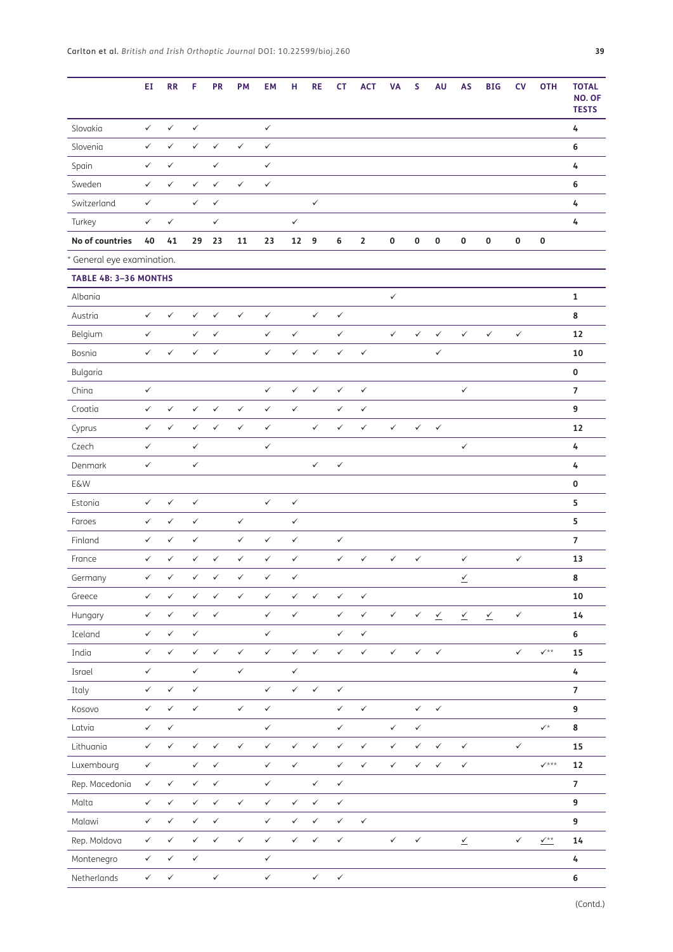|                            | ΕI           | <b>RR</b>    | F            | <b>PR</b>    | <b>PM</b>    | <b>EM</b>    | н            | <b>RE</b>    | <b>CT</b>    | <b>ACT</b>   | <b>VA</b>    | S            | AU           | <b>AS</b>                           | <b>BIG</b>                          | <b>CV</b>    | <b>OTH</b>                   | <b>TOTAL</b><br>NO. OF<br><b>TESTS</b> |
|----------------------------|--------------|--------------|--------------|--------------|--------------|--------------|--------------|--------------|--------------|--------------|--------------|--------------|--------------|-------------------------------------|-------------------------------------|--------------|------------------------------|----------------------------------------|
| Slovakia                   | $\checkmark$ | $\checkmark$ | $\checkmark$ |              |              | $\checkmark$ |              |              |              |              |              |              |              |                                     |                                     |              |                              | 4                                      |
| Slovenia                   | $\checkmark$ | $\checkmark$ | $\checkmark$ | $\checkmark$ | $\checkmark$ | $\checkmark$ |              |              |              |              |              |              |              |                                     |                                     |              |                              | $\boldsymbol{6}$                       |
| Spain                      | $\checkmark$ | $\checkmark$ |              | $\checkmark$ |              | $\checkmark$ |              |              |              |              |              |              |              |                                     |                                     |              |                              | 4                                      |
| Sweden                     | $\checkmark$ | $\checkmark$ | $\checkmark$ | $\checkmark$ | $\checkmark$ | $\checkmark$ |              |              |              |              |              |              |              |                                     |                                     |              |                              | 6                                      |
| Switzerland                | $\checkmark$ |              | $\checkmark$ | $\checkmark$ |              |              |              | $\checkmark$ |              |              |              |              |              |                                     |                                     |              |                              | 4                                      |
| Turkey                     | $\checkmark$ | $\checkmark$ |              | $\checkmark$ |              |              | $\checkmark$ |              |              |              |              |              |              |                                     |                                     |              |                              | 4                                      |
| No of countries            | 40           | 41           | 29           | 23           | 11           | 23           | 12 9         |              | 6            | $\mathbf{2}$ | $\pmb{0}$    | $\pmb{0}$    | 0            | 0                                   | $\pmb{0}$                           | $\pmb{0}$    | $\pmb{0}$                    |                                        |
| * General eye examination. |              |              |              |              |              |              |              |              |              |              |              |              |              |                                     |                                     |              |                              |                                        |
| TABLE 4B: 3-36 MONTHS      |              |              |              |              |              |              |              |              |              |              |              |              |              |                                     |                                     |              |                              |                                        |
| Albania                    |              |              |              |              |              |              |              |              |              |              | $\checkmark$ |              |              |                                     |                                     |              |                              | $\mathbf{1}$                           |
| Austria                    | $\checkmark$ | $\checkmark$ | $\checkmark$ | $\checkmark$ | $\checkmark$ | $\checkmark$ |              | $\checkmark$ | $\checkmark$ |              |              |              |              |                                     |                                     |              |                              | 8                                      |
| Belgium                    | $\checkmark$ |              | $\checkmark$ | $\checkmark$ |              | $\checkmark$ | $\checkmark$ |              | $\checkmark$ |              | $\checkmark$ | $\checkmark$ | $\checkmark$ | $\checkmark$                        | $\checkmark$                        | $\checkmark$ |                              | 12                                     |
| Bosnia                     | $\checkmark$ | $\checkmark$ | $\checkmark$ | $\checkmark$ |              | $\checkmark$ | $\checkmark$ | $\checkmark$ | $\checkmark$ | $\checkmark$ |              |              | $\checkmark$ |                                     |                                     |              |                              | 10                                     |
| Bulgaria                   |              |              |              |              |              |              |              |              |              |              |              |              |              |                                     |                                     |              |                              | $\pmb{0}$                              |
| China                      | $\checkmark$ |              |              |              |              | $\checkmark$ | $\checkmark$ | $\checkmark$ | $\checkmark$ | $\checkmark$ |              |              |              | $\checkmark$                        |                                     |              |                              | $\overline{7}$                         |
| Croatia                    | $\checkmark$ | $\checkmark$ | $\checkmark$ | $\checkmark$ | $\checkmark$ | $\checkmark$ | $\checkmark$ |              | $\checkmark$ | $\checkmark$ |              |              |              |                                     |                                     |              |                              | 9                                      |
| Cyprus                     | $\checkmark$ | $\checkmark$ | $\checkmark$ | $\checkmark$ | $\checkmark$ | $\checkmark$ |              | $\checkmark$ | $\checkmark$ | $\checkmark$ | $\checkmark$ | $\checkmark$ | $\checkmark$ |                                     |                                     |              |                              | 12                                     |
| Czech                      | $\checkmark$ |              | $\checkmark$ |              |              | $\checkmark$ |              |              |              |              |              |              |              | $\checkmark$                        |                                     |              |                              | 4                                      |
| Denmark                    | $\checkmark$ |              | $\checkmark$ |              |              |              |              | $\checkmark$ | $\checkmark$ |              |              |              |              |                                     |                                     |              |                              | 4                                      |
| E&W                        |              |              |              |              |              |              |              |              |              |              |              |              |              |                                     |                                     |              |                              | $\mathbf 0$                            |
| Estonia                    | $\checkmark$ | $\checkmark$ | $\checkmark$ |              |              | $\checkmark$ | $\checkmark$ |              |              |              |              |              |              |                                     |                                     |              |                              | 5                                      |
| Faroes                     | $\checkmark$ | $\checkmark$ | $\checkmark$ |              | $\checkmark$ |              | $\checkmark$ |              |              |              |              |              |              |                                     |                                     |              |                              | 5                                      |
| Finland                    | $\checkmark$ | $\checkmark$ | $\checkmark$ |              | $\checkmark$ | $\checkmark$ | $\checkmark$ |              | $\checkmark$ |              |              |              |              |                                     |                                     |              |                              | $\overline{7}$                         |
| France                     | $\checkmark$ | $\checkmark$ | $\checkmark$ | $\checkmark$ | $\checkmark$ | $\checkmark$ | $\checkmark$ |              | $\checkmark$ | $\checkmark$ | $\checkmark$ | $\checkmark$ |              | $\checkmark$                        |                                     | $\checkmark$ |                              | 13                                     |
| Germany                    | $\checkmark$ | $\checkmark$ | $\checkmark$ | $\checkmark$ | $\checkmark$ | ✓            | $\checkmark$ |              |              |              |              |              |              | $\overline{\underline{\checkmark}}$ |                                     |              |                              | $\bf8$                                 |
| Greece                     | $\checkmark$ | $\checkmark$ | $\checkmark$ | $\checkmark$ | $\checkmark$ | $\checkmark$ | $\checkmark$ | $\checkmark$ | $\checkmark$ | $\checkmark$ |              |              |              |                                     |                                     |              |                              | 10                                     |
| Hungary                    | $\checkmark$ | $\checkmark$ | $\checkmark$ | $\checkmark$ |              | $\checkmark$ | $\checkmark$ |              | $\checkmark$ | $\checkmark$ | $\checkmark$ | $\checkmark$ | $\leq$       | $\leq$                              | $\overline{\underline{\checkmark}}$ | $\checkmark$ |                              | 14                                     |
| Iceland                    | $\checkmark$ | $\checkmark$ | $\checkmark$ |              |              | $\checkmark$ |              |              | $\checkmark$ | $\checkmark$ |              |              |              |                                     |                                     |              |                              | $\boldsymbol{6}$                       |
| India                      | $\checkmark$ | $\checkmark$ | $\checkmark$ | $\checkmark$ | $\checkmark$ | $\checkmark$ | $\checkmark$ | $\checkmark$ | $\checkmark$ | $\checkmark$ | $\checkmark$ | $\checkmark$ | $\checkmark$ |                                     |                                     | $\checkmark$ | $\checkmark^{**}$            | 15                                     |
| Israel                     | $\checkmark$ |              | $\checkmark$ |              | $\checkmark$ |              | $\checkmark$ |              |              |              |              |              |              |                                     |                                     |              |                              | $\pmb{4}$                              |
| Italy                      | $\checkmark$ | $\checkmark$ | $\checkmark$ |              |              | $\checkmark$ | $\checkmark$ | $\checkmark$ | $\checkmark$ |              |              |              |              |                                     |                                     |              |                              | $\boldsymbol{7}$                       |
| Kosovo                     | $\checkmark$ | $\checkmark$ | $\checkmark$ |              | $\checkmark$ | $\checkmark$ |              |              | $\checkmark$ | $\checkmark$ |              | $\checkmark$ | $\checkmark$ |                                     |                                     |              |                              | 9                                      |
| Latvia                     | $\checkmark$ | $\checkmark$ |              |              |              | $\checkmark$ |              |              | $\checkmark$ |              | $\checkmark$ | $\checkmark$ |              |                                     |                                     |              | $\checkmark^{\star}$         | 8                                      |
| Lithuania                  | $\checkmark$ | $\checkmark$ | $\checkmark$ | $\checkmark$ | $\checkmark$ | $\checkmark$ | $\checkmark$ | $\checkmark$ | $\checkmark$ | $\checkmark$ | $\checkmark$ | $\checkmark$ | $\checkmark$ | $\checkmark$                        |                                     | $\checkmark$ |                              | 15                                     |
| Luxembourg                 | $\checkmark$ |              | $\checkmark$ | $\checkmark$ |              | $\checkmark$ | $\checkmark$ |              | $\checkmark$ | $\checkmark$ | $\checkmark$ | $\checkmark$ | $\checkmark$ | $\checkmark$                        |                                     |              | $\checkmark$ ***             | 12                                     |
| Rep. Macedonia             | $\checkmark$ | $\checkmark$ | $\checkmark$ | $\checkmark$ |              | $\checkmark$ |              | $\checkmark$ | $\checkmark$ |              |              |              |              |                                     |                                     |              |                              | $\overline{7}$                         |
| Malta                      | $\checkmark$ | $\checkmark$ | $\checkmark$ | $\checkmark$ | $\checkmark$ | $\checkmark$ | $\checkmark$ | $\checkmark$ | $\checkmark$ |              |              |              |              |                                     |                                     |              |                              | 9                                      |
| Malawi                     | $\checkmark$ | $\checkmark$ | $\checkmark$ | $\checkmark$ |              | $\checkmark$ | $\checkmark$ | $\checkmark$ | $\checkmark$ | $\checkmark$ |              |              |              |                                     |                                     |              |                              | 9                                      |
| Rep. Moldova               | $\checkmark$ | $\checkmark$ | $\checkmark$ | $\checkmark$ | $\checkmark$ | $\checkmark$ | $\checkmark$ | $\checkmark$ | $\checkmark$ |              | $\checkmark$ | $\checkmark$ |              | $\stackrel{\checkmark}{=}$          |                                     | $\checkmark$ | $\frac{\sqrt{2}x}{\sqrt{2}}$ | 14                                     |
| Montenegro                 | $\checkmark$ | $\checkmark$ | $\checkmark$ |              |              | $\checkmark$ |              |              |              |              |              |              |              |                                     |                                     |              |                              | $\pmb{4}$                              |
| Netherlands                | $\checkmark$ | $\checkmark$ |              | $\checkmark$ |              | $\checkmark$ |              | $\checkmark$ | $\checkmark$ |              |              |              |              |                                     |                                     |              |                              | $\boldsymbol{6}$                       |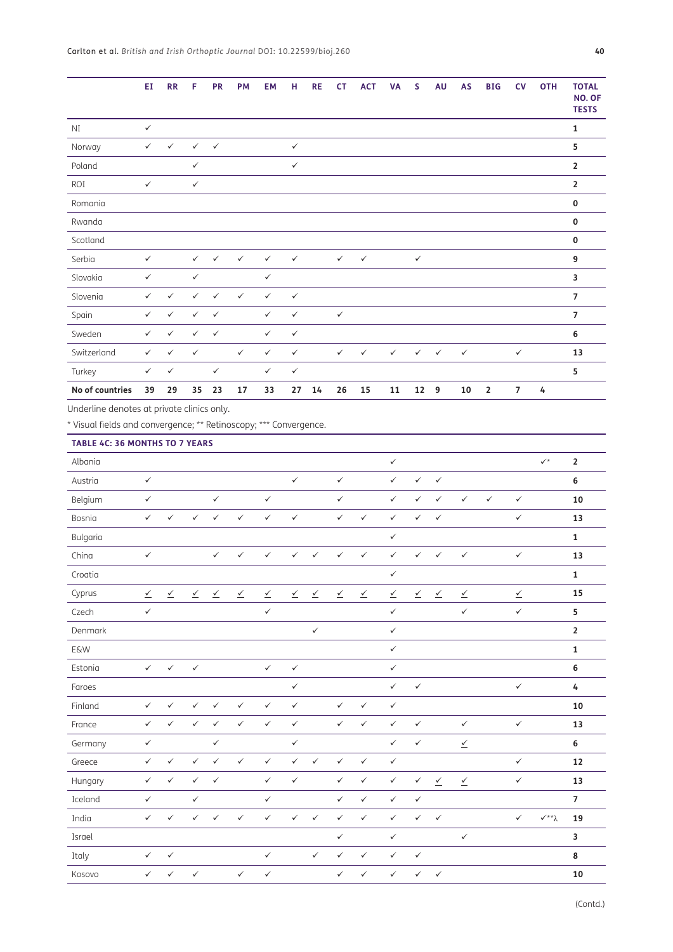|                                                                                                                 | EI                                  | <b>RR</b>                | F                        | <b>PR</b>                | <b>PM</b>                           | EM                       | н                        | <b>RE</b>                | <b>CT</b>                | <b>ACT</b>                          | <b>VA</b>                           | S                        | <b>AU</b>                           | AS                                  | <b>BIG</b>   | <b>CV</b>                           | <b>OTH</b>                        | <b>TOTAL</b><br>NO. OF<br><b>TESTS</b> |
|-----------------------------------------------------------------------------------------------------------------|-------------------------------------|--------------------------|--------------------------|--------------------------|-------------------------------------|--------------------------|--------------------------|--------------------------|--------------------------|-------------------------------------|-------------------------------------|--------------------------|-------------------------------------|-------------------------------------|--------------|-------------------------------------|-----------------------------------|----------------------------------------|
| $\rm{NI}$                                                                                                       | $\checkmark$                        |                          |                          |                          |                                     |                          |                          |                          |                          |                                     |                                     |                          |                                     |                                     |              |                                     |                                   | $\mathbf 1$                            |
| Norway                                                                                                          | $\checkmark$                        | $\checkmark$             | $\checkmark$             | $\checkmark$             |                                     |                          | $\checkmark$             |                          |                          |                                     |                                     |                          |                                     |                                     |              |                                     |                                   | 5                                      |
| Poland                                                                                                          |                                     |                          | $\checkmark$             |                          |                                     |                          | $\checkmark$             |                          |                          |                                     |                                     |                          |                                     |                                     |              |                                     |                                   | $\overline{\mathbf{2}}$                |
| ROI                                                                                                             | $\checkmark$                        |                          | $\checkmark$             |                          |                                     |                          |                          |                          |                          |                                     |                                     |                          |                                     |                                     |              |                                     |                                   | $\overline{\mathbf{2}}$                |
| Romania                                                                                                         |                                     |                          |                          |                          |                                     |                          |                          |                          |                          |                                     |                                     |                          |                                     |                                     |              |                                     |                                   | 0                                      |
| Rwanda                                                                                                          |                                     |                          |                          |                          |                                     |                          |                          |                          |                          |                                     |                                     |                          |                                     |                                     |              |                                     |                                   | 0                                      |
| Scotland                                                                                                        |                                     |                          |                          |                          |                                     |                          |                          |                          |                          |                                     |                                     |                          |                                     |                                     |              |                                     |                                   | 0                                      |
| Serbia                                                                                                          | $\checkmark$                        |                          | $\checkmark$             | $\checkmark$             | $\checkmark$                        | $\checkmark$             | $\checkmark$             |                          | $\checkmark$             | $\checkmark$                        |                                     | $\checkmark$             |                                     |                                     |              |                                     |                                   | 9                                      |
| Slovakia                                                                                                        | $\checkmark$                        |                          | $\checkmark$             |                          |                                     | $\checkmark$             |                          |                          |                          |                                     |                                     |                          |                                     |                                     |              |                                     |                                   | 3                                      |
| Slovenia                                                                                                        | $\checkmark$                        | $\checkmark$             | $\checkmark$             | $\checkmark$             | $\checkmark$                        | $\checkmark$             | $\checkmark$             |                          |                          |                                     |                                     |                          |                                     |                                     |              |                                     |                                   | $\overline{7}$                         |
| Spain                                                                                                           | $\checkmark$                        | $\checkmark$             | $\checkmark$             | $\checkmark$             |                                     | $\checkmark$             | $\checkmark$             |                          | $\checkmark$             |                                     |                                     |                          |                                     |                                     |              |                                     |                                   | 7                                      |
| Sweden                                                                                                          | $\checkmark$                        | $\checkmark$             | $\checkmark$             | $\checkmark$             |                                     | $\checkmark$             | $\checkmark$             |                          |                          |                                     |                                     |                          |                                     |                                     |              |                                     |                                   | 6                                      |
| Switzerland                                                                                                     | $\checkmark$                        | $\checkmark$             | $\checkmark$             |                          | $\checkmark$                        | $\checkmark$             | $\checkmark$             |                          | $\checkmark$             | $\checkmark$                        | $\checkmark$                        | $\checkmark$             | $\checkmark$                        | $\checkmark$                        |              | $\checkmark$                        |                                   | 13                                     |
| Turkey                                                                                                          | $\checkmark$                        | $\checkmark$             |                          | $\checkmark$             |                                     | $\checkmark$             | $\checkmark$             |                          |                          |                                     |                                     |                          |                                     |                                     |              |                                     |                                   | 5                                      |
| No of countries                                                                                                 | 39                                  | 29                       | 35                       | 23                       | 17                                  | 33                       | 27                       | 14                       | 26                       | 15                                  | 11                                  | 12                       | $\boldsymbol{9}$                    | 10                                  | $\mathbf 2$  | 7                                   | 4                                 |                                        |
| Underline denotes at private clinics only.<br>* Visual fields and convergence; ** Retinoscopy; *** Convergence. |                                     |                          |                          |                          |                                     |                          |                          |                          |                          |                                     |                                     |                          |                                     |                                     |              |                                     |                                   |                                        |
| TABLE 4C: 36 MONTHS TO 7 YEARS                                                                                  |                                     |                          |                          |                          |                                     |                          |                          |                          |                          |                                     |                                     |                          |                                     |                                     |              |                                     |                                   |                                        |
| Albania                                                                                                         |                                     |                          |                          |                          |                                     |                          |                          |                          |                          |                                     | $\checkmark$                        |                          |                                     |                                     |              |                                     | $\checkmark^*$                    | $\mathbf 2$                            |
| Austria                                                                                                         | $\checkmark$                        |                          |                          |                          |                                     |                          | $\checkmark$             |                          | $\checkmark$             |                                     | $\checkmark$                        | $\checkmark$             | $\checkmark$                        |                                     |              |                                     |                                   | 6                                      |
| Belgium                                                                                                         | $\checkmark$                        |                          |                          | $\checkmark$             |                                     | $\checkmark$             |                          |                          | $\checkmark$             |                                     | $\checkmark$                        | $\checkmark$             | $\checkmark$                        | $\checkmark$                        | $\checkmark$ | $\checkmark$                        |                                   | 10                                     |
| Bosnia                                                                                                          | $\checkmark$                        | $\checkmark$             | $\checkmark$             | $\checkmark$             | $\checkmark$                        | $\checkmark$             | $\checkmark$             |                          | $\checkmark$             | $\checkmark$                        | $\checkmark$                        | $\checkmark$             | $\checkmark$                        |                                     |              | $\checkmark$                        |                                   | 13                                     |
| Bulgaria                                                                                                        |                                     |                          |                          |                          |                                     |                          |                          |                          |                          |                                     | $\checkmark$                        |                          |                                     |                                     |              |                                     |                                   | $\mathbf{1}$                           |
| China                                                                                                           | $\checkmark$                        |                          |                          | $\checkmark$             | $\checkmark$                        | $\checkmark$             | $\checkmark$             | $\checkmark$             | $\checkmark$             | $\checkmark$                        | $\checkmark$                        | $\checkmark$             | $\checkmark$                        | $\checkmark$                        |              | $\checkmark$                        |                                   | 13                                     |
| Croatia                                                                                                         |                                     |                          |                          |                          |                                     |                          |                          |                          |                          |                                     | $\checkmark$                        |                          |                                     |                                     |              |                                     |                                   | $\mathbf 1$                            |
| Cyprus                                                                                                          | $\overline{\underline{\checkmark}}$ | $\underline{\checkmark}$ | $\underline{\checkmark}$ | $\underline{\checkmark}$ | $\overline{\underline{\checkmark}}$ | $\underline{\checkmark}$ | $\underline{\checkmark}$ | $\underline{\checkmark}$ | $\underline{\checkmark}$ | $\overline{\underline{\checkmark}}$ | $\overline{\underline{\checkmark}}$ | $\underline{\checkmark}$ | $\overline{\mathcal{L}}$            | $\overline{\mathcal{L}}$            |              | $\overline{\underline{\checkmark}}$ |                                   | 15                                     |
| Czech                                                                                                           | $\checkmark$                        |                          |                          |                          |                                     | $\checkmark$             |                          |                          |                          |                                     | $\checkmark$                        |                          |                                     | $\checkmark$                        |              | $\checkmark$                        |                                   | 5                                      |
| Denmark                                                                                                         |                                     |                          |                          |                          |                                     |                          |                          | $\checkmark$             |                          |                                     | $\checkmark$                        |                          |                                     |                                     |              |                                     |                                   | $\mathbf 2$                            |
| <b>E&amp;W</b>                                                                                                  |                                     |                          |                          |                          |                                     |                          |                          |                          |                          |                                     | $\checkmark$                        |                          |                                     |                                     |              |                                     |                                   | 1                                      |
| Estonia                                                                                                         | $\checkmark$                        | $\checkmark$             | $\checkmark$             |                          |                                     | $\checkmark$             | $\checkmark$             |                          |                          |                                     | $\checkmark$                        |                          |                                     |                                     |              |                                     |                                   | 6                                      |
| Faroes                                                                                                          |                                     |                          |                          |                          |                                     |                          | $\checkmark$             |                          |                          |                                     | $\checkmark$                        | $\checkmark$             |                                     |                                     |              | $\checkmark$                        |                                   | 4                                      |
| Finland                                                                                                         | $\checkmark$                        | $\checkmark$             | $\checkmark$             | $\checkmark$             | $\checkmark$                        | $\checkmark$             | $\checkmark$             |                          | $\checkmark$             | $\checkmark$                        | $\checkmark$                        |                          |                                     |                                     |              |                                     |                                   | 10                                     |
| France                                                                                                          | $\checkmark$                        | $\checkmark$             | $\checkmark$             | $\checkmark$             | $\checkmark$                        | $\checkmark$             | $\checkmark$             |                          | $\checkmark$             | $\checkmark$                        | $\checkmark$                        | $\checkmark$             |                                     | $\checkmark$                        |              | $\checkmark$                        |                                   | 13                                     |
| Germany                                                                                                         | $\checkmark$                        |                          |                          | $\checkmark$             |                                     |                          | $\checkmark$             |                          |                          |                                     | $\checkmark$                        | $\checkmark$             |                                     | $\overline{\underline{\checkmark}}$ |              |                                     |                                   | 6                                      |
| Greece                                                                                                          | $\checkmark$                        | $\checkmark$             | $\checkmark$             | $\checkmark$             | $\checkmark$                        | $\checkmark$             | $\checkmark$             | $\checkmark$             | $\checkmark$             | $\checkmark$                        | $\checkmark$                        |                          |                                     |                                     |              | $\checkmark$                        |                                   | 12                                     |
| Hungary                                                                                                         | $\checkmark$                        | $\checkmark$             | $\checkmark$             | $\checkmark$             |                                     | $\checkmark$             | $\checkmark$             |                          | $\checkmark$             | $\checkmark$                        | $\checkmark$                        | $\checkmark$             | $\overline{\underline{\checkmark}}$ | $\overline{\underline{\checkmark}}$ |              | $\checkmark$                        |                                   | 13                                     |
| Iceland                                                                                                         | $\checkmark$                        |                          | $\checkmark$             |                          |                                     | $\checkmark$             |                          |                          | $\checkmark$             | $\checkmark$                        | $\checkmark$                        | $\checkmark$             |                                     |                                     |              |                                     |                                   | $\overline{\mathbf{z}}$                |
| India                                                                                                           | $\checkmark$                        | $\checkmark$             | $\checkmark$             | $\checkmark$             | $\checkmark$                        | $\checkmark$             | $\checkmark$             | $\checkmark$             | $\checkmark$             | $\checkmark$                        | $\checkmark$                        | $\checkmark$             | $\checkmark$                        |                                     |              | $\checkmark$                        | $\checkmark^{\star\star} \lambda$ | 19                                     |
| Israel                                                                                                          |                                     |                          |                          |                          |                                     |                          |                          |                          | $\checkmark$             |                                     | $\checkmark$                        |                          |                                     | $\checkmark$                        |              |                                     |                                   | 3                                      |
| Italy                                                                                                           | $\checkmark$                        | $\checkmark$             |                          |                          |                                     | $\checkmark$             |                          | $\checkmark$             | $\checkmark$             | $\checkmark$                        | $\checkmark$                        | $\checkmark$             |                                     |                                     |              |                                     |                                   | 8                                      |
| Kosovo                                                                                                          | $\checkmark$                        | $\checkmark$             | $\checkmark$             |                          | $\checkmark$                        | $\checkmark$             |                          |                          | $\checkmark$             | $\checkmark$                        | $\checkmark$                        | $\checkmark$             | $\checkmark$                        |                                     |              |                                     |                                   | 10                                     |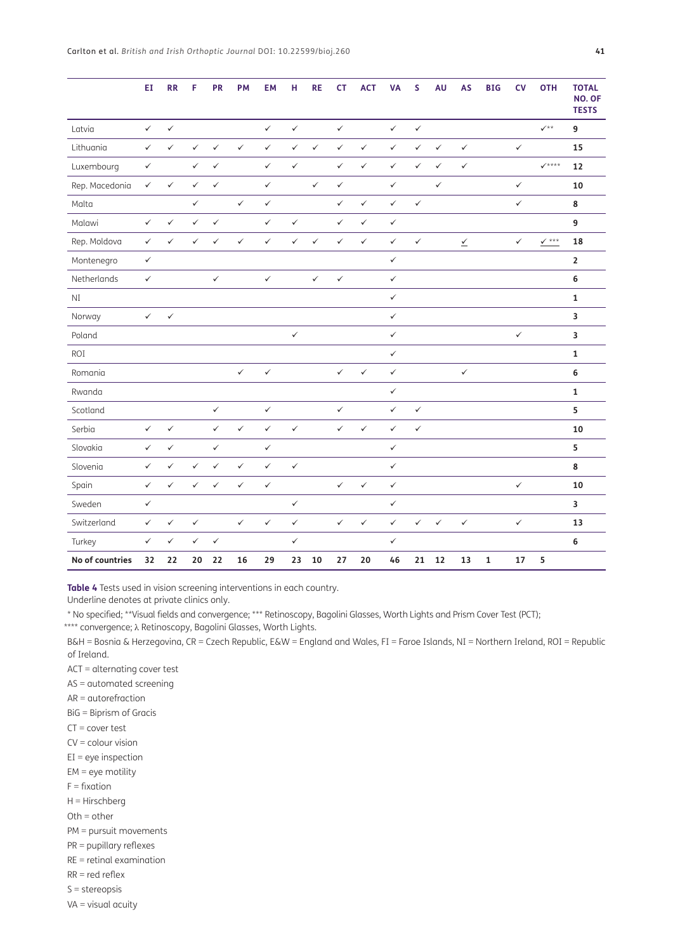|                 | EI           | $\overline{\text{RR}}$ | F            | PR           | PM           | <b>EM</b>    | H            | <b>RE</b>    | <b>CT</b>    | <b>ACT</b>   | <b>VA</b>    | S            | AU           | AS                                  | <b>BIG</b>  | CV           | <b>OTH</b>        | <b>TOTAL</b><br>NO. OF<br><b>TESTS</b> |
|-----------------|--------------|------------------------|--------------|--------------|--------------|--------------|--------------|--------------|--------------|--------------|--------------|--------------|--------------|-------------------------------------|-------------|--------------|-------------------|----------------------------------------|
| Latvia          | $\checkmark$ | $\checkmark$           |              |              |              | $\checkmark$ | $\checkmark$ |              | $\checkmark$ |              | $\checkmark$ | $\checkmark$ |              |                                     |             |              | $\checkmark$      | 9                                      |
| Lithuania       | $\checkmark$ | $\checkmark$           | $\checkmark$ | $\checkmark$ | $\checkmark$ | $\checkmark$ | $\checkmark$ | $\checkmark$ | $\checkmark$ | $\checkmark$ | $\checkmark$ | $\checkmark$ | $\checkmark$ | $\checkmark$                        |             | $\checkmark$ |                   | 15                                     |
| Luxembourg      | $\checkmark$ |                        | $\checkmark$ | $\checkmark$ |              | $\checkmark$ | $\checkmark$ |              | $\checkmark$ | $\checkmark$ | $\checkmark$ | $\checkmark$ | $\checkmark$ | $\checkmark$                        |             |              | $\checkmark$ **** | 12                                     |
| Rep. Macedonia  | $\checkmark$ | $\checkmark$           | $\checkmark$ | $\checkmark$ |              | $\checkmark$ |              | $\checkmark$ | $\checkmark$ |              | $\checkmark$ |              | $\checkmark$ |                                     |             | $\checkmark$ |                   | 10                                     |
| Malta           |              |                        | $\checkmark$ |              | $\checkmark$ | $\checkmark$ |              |              | $\checkmark$ | $\checkmark$ | $\checkmark$ | $\checkmark$ |              |                                     |             | $\checkmark$ |                   | 8                                      |
| Malawi          | $\checkmark$ | $\checkmark$           | $\checkmark$ | $\checkmark$ |              | $\checkmark$ | $\checkmark$ |              | $\checkmark$ | $\checkmark$ | $\checkmark$ |              |              |                                     |             |              |                   | 9                                      |
| Rep. Moldova    | $\checkmark$ | $\checkmark$           | $\checkmark$ | $\checkmark$ | $\checkmark$ | $\checkmark$ | $\checkmark$ | $\checkmark$ | $\checkmark$ | $\checkmark$ | $\checkmark$ | $\checkmark$ |              | $\overline{\underline{\checkmark}}$ |             | $\checkmark$ | $\vee$ ***        | 18                                     |
| Montenegro      | $\checkmark$ |                        |              |              |              |              |              |              |              |              | $\checkmark$ |              |              |                                     |             |              |                   | $\mathbf 2$                            |
| Netherlands     | $\checkmark$ |                        |              | $\checkmark$ |              | $\checkmark$ |              | $\checkmark$ | $\checkmark$ |              | $\checkmark$ |              |              |                                     |             |              |                   | 6                                      |
| NI              |              |                        |              |              |              |              |              |              |              |              | $\checkmark$ |              |              |                                     |             |              |                   | $\mathbf{1}$                           |
| Norway          | $\checkmark$ | $\checkmark$           |              |              |              |              |              |              |              |              | $\checkmark$ |              |              |                                     |             |              |                   | $\overline{\mathbf{3}}$                |
| Poland          |              |                        |              |              |              |              | $\checkmark$ |              |              |              | $\checkmark$ |              |              |                                     |             | $\checkmark$ |                   | 3                                      |
| ROI             |              |                        |              |              |              |              |              |              |              |              | $\checkmark$ |              |              |                                     |             |              |                   | $\mathbf{1}$                           |
| Romania         |              |                        |              |              | $\checkmark$ | $\checkmark$ |              |              | $\checkmark$ | $\checkmark$ | $\checkmark$ |              |              | $\checkmark$                        |             |              |                   | 6                                      |
| Rwanda          |              |                        |              |              |              |              |              |              |              |              | $\checkmark$ |              |              |                                     |             |              |                   | $\mathbf 1$                            |
| Scotland        |              |                        |              | $\checkmark$ |              | $\checkmark$ |              |              | $\checkmark$ |              | $\checkmark$ | $\checkmark$ |              |                                     |             |              |                   | 5                                      |
| Serbia          | $\checkmark$ | $\checkmark$           |              | $\checkmark$ | $\checkmark$ | $\checkmark$ | $\checkmark$ |              | $\checkmark$ | $\checkmark$ | $\checkmark$ | $\checkmark$ |              |                                     |             |              |                   | 10                                     |
| Slovakia        | $\checkmark$ | $\checkmark$           |              | $\checkmark$ |              | $\checkmark$ |              |              |              |              | $\checkmark$ |              |              |                                     |             |              |                   | 5                                      |
| Slovenia        | $\checkmark$ | $\checkmark$           | $\checkmark$ | $\checkmark$ | $\checkmark$ | $\checkmark$ | $\checkmark$ |              |              |              | $\checkmark$ |              |              |                                     |             |              |                   | 8                                      |
| Spain           | $\checkmark$ | $\checkmark$           | $\checkmark$ | $\checkmark$ | $\checkmark$ | $\checkmark$ |              |              | $\checkmark$ | $\checkmark$ | $\checkmark$ |              |              |                                     |             | $\checkmark$ |                   | 10                                     |
| Sweden          | $\checkmark$ |                        |              |              |              |              | $\checkmark$ |              |              |              | $\checkmark$ |              |              |                                     |             |              |                   | $\overline{\mathbf{3}}$                |
| Switzerland     | $\checkmark$ | $\checkmark$           | $\checkmark$ |              | $\checkmark$ | ✓            | $\checkmark$ |              | $\checkmark$ | $\checkmark$ | $\checkmark$ | $\checkmark$ | $\checkmark$ | $\checkmark$                        |             | $\checkmark$ |                   | 13                                     |
| Turkey          | $\checkmark$ | $\checkmark$           | $\checkmark$ | $\checkmark$ |              |              | $\checkmark$ |              |              |              | $\checkmark$ |              |              |                                     |             |              |                   | 6                                      |
| No of countries | 32           | 22                     | 20           | 22           | 16           | 29           | 23           | 10           | 27           | 20           | 46           | 21           | 12           | 13                                  | $\mathbf 1$ | 17           | 5                 |                                        |

<span id="page-14-0"></span>**Table 4** Tests used in vision screening interventions in each country.

Underline denotes at private clinics only.

\* No specified; \*\*Visual fields and convergence; \*\*\* Retinoscopy, Bagolini Glasses, Worth Lights and Prism Cover Test (PCT);

\*\*\*\* convergence; λ Retinoscopy, Bagolini Glasses, Worth Lights.

B&H = Bosnia & Herzegovina, CR = Czech Republic, E&W = England and Wales, FI = Faroe Islands, NI = Northern Ireland, ROI = Republic of Ireland.

ACT = alternating cover test

AS = automated screening

AR = autorefraction

BiG = Biprism of Gracis

CT = cover test

CV = colour vision

 $EI = eye$  inspection

- EM = eye motility
- $F =$  fixation

H = Hirschberg

 $Oth = other$ 

PM = pursuit movements

- PR = pupillary reflexes
- RE = retinal examination

RR = red reflex

- S = stereopsis
- VA = visual acuity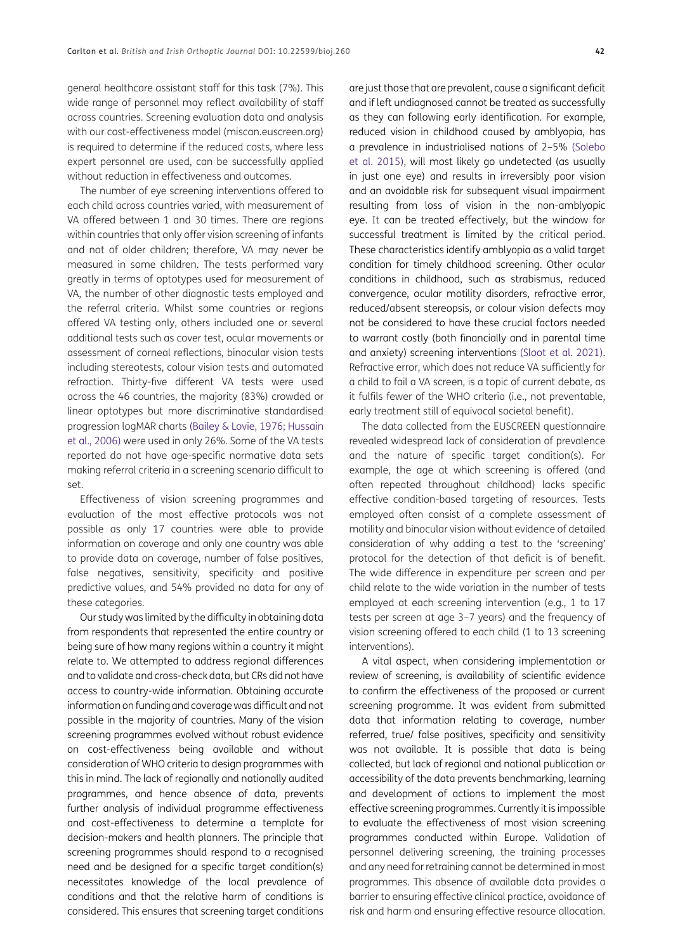general healthcare assistant staff for this task (7%). This wide range of personnel may reflect availability of staff across countries. Screening evaluation data and analysis with our cost-effectiveness model (miscan.euscreen.org) is required to determine if the reduced costs, where less expert personnel are used, can be successfully applied without reduction in effectiveness and outcomes.

The number of eye screening interventions offered to each child across countries varied, with measurement of VA offered between 1 and 30 times. There are regions within countries that only offer vision screening of infants and not of older children; therefore, VA may never be measured in some children. The tests performed vary greatly in terms of optotypes used for measurement of VA, the number of other diagnostic tests employed and the referral criteria. Whilst some countries or regions offered VA testing only, others included one or several additional tests such as cover test, ocular movements or assessment of corneal reflections, binocular vision tests including stereotests, colour vision tests and automated refraction. Thirty-five different VA tests were used across the 46 countries, the majority (83%) crowded or linear optotypes but more discriminative standardised progression logMAR charts ([Bailey & Lovie, 1976](#page-18-1); [Hussain](#page-19-2) [et al., 2006](#page-19-2)) were used in only 26%. Some of the VA tests reported do not have age-specific normative data sets making referral criteria in a screening scenario difficult to set.

Effectiveness of vision screening programmes and evaluation of the most effective protocols was not possible as only 17 countries were able to provide information on coverage and only one country was able to provide data on coverage, number of false positives, false negatives, sensitivity, specificity and positive predictive values, and 54% provided no data for any of these categories.

Our study was limited by the difficulty in obtaining data from respondents that represented the entire country or being sure of how many regions within a country it might relate to. We attempted to address regional differences and to validate and cross-check data, but CRs did not have access to country-wide information. Obtaining accurate information on funding and coverage was difficult and not possible in the majority of countries. Many of the vision screening programmes evolved without robust evidence on cost-effectiveness being available and without consideration of WHO criteria to design programmes with this in mind. The lack of regionally and nationally audited programmes, and hence absence of data, prevents further analysis of individual programme effectiveness and cost-effectiveness to determine a template for decision-makers and health planners. The principle that screening programmes should respond to a recognised need and be designed for a specific target condition(s) necessitates knowledge of the local prevalence of conditions and that the relative harm of conditions is considered. This ensures that screening target conditions

are just those that are prevalent, cause a significant deficit and if left undiagnosed cannot be treated as successfully as they can following early identification. For example, reduced vision in childhood caused by amblyopia, has a prevalence in industrialised nations of 2–5% ([Solebo](#page-19-10)  [et al. 2015](#page-19-10)), will most likely go undetected (as usually in just one eye) and results in irreversibly poor vision and an avoidable risk for subsequent visual impairment resulting from loss of vision in the non-amblyopic eye. It can be treated effectively, but the window for successful treatment is limited by the critical period. These characteristics identify amblyopia as a valid target condition for timely childhood screening. Other ocular conditions in childhood, such as strabismus, reduced convergence, ocular motility disorders, refractive error, reduced/absent stereopsis, or colour vision defects may not be considered to have these crucial factors needed to warrant costly (both financially and in parental time and anxiety) screening interventions [\(Sloot et al. 2021\)](#page-19-11). Refractive error, which does not reduce VA sufficiently for a child to fail a VA screen, is a topic of current debate, as it fulfils fewer of the WHO criteria (i.e., not preventable, early treatment still of equivocal societal benefit).

The data collected from the EUSCREEN questionnaire revealed widespread lack of consideration of prevalence and the nature of specific target condition(s). For example, the age at which screening is offered (and often repeated throughout childhood) lacks specific effective condition-based targeting of resources. Tests employed often consist of a complete assessment of motility and binocular vision without evidence of detailed consideration of why adding a test to the 'screening' protocol for the detection of that deficit is of benefit. The wide difference in expenditure per screen and per child relate to the wide variation in the number of tests employed at each screening intervention (e.g., 1 to 17 tests per screen at age 3–7 years) and the frequency of vision screening offered to each child (1 to 13 screening interventions).

A vital aspect, when considering implementation or review of screening, is availability of scientific evidence to confirm the effectiveness of the proposed or current screening programme. It was evident from submitted data that information relating to coverage, number referred, true/ false positives, specificity and sensitivity was not available. It is possible that data is being collected, but lack of regional and national publication or accessibility of the data prevents benchmarking, learning and development of actions to implement the most effective screening programmes. Currently it is impossible to evaluate the effectiveness of most vision screening programmes conducted within Europe. Validation of personnel delivering screening, the training processes and any need for retraining cannot be determined in most programmes. This absence of available data provides a barrier to ensuring effective clinical practice, avoidance of risk and harm and ensuring effective resource allocation.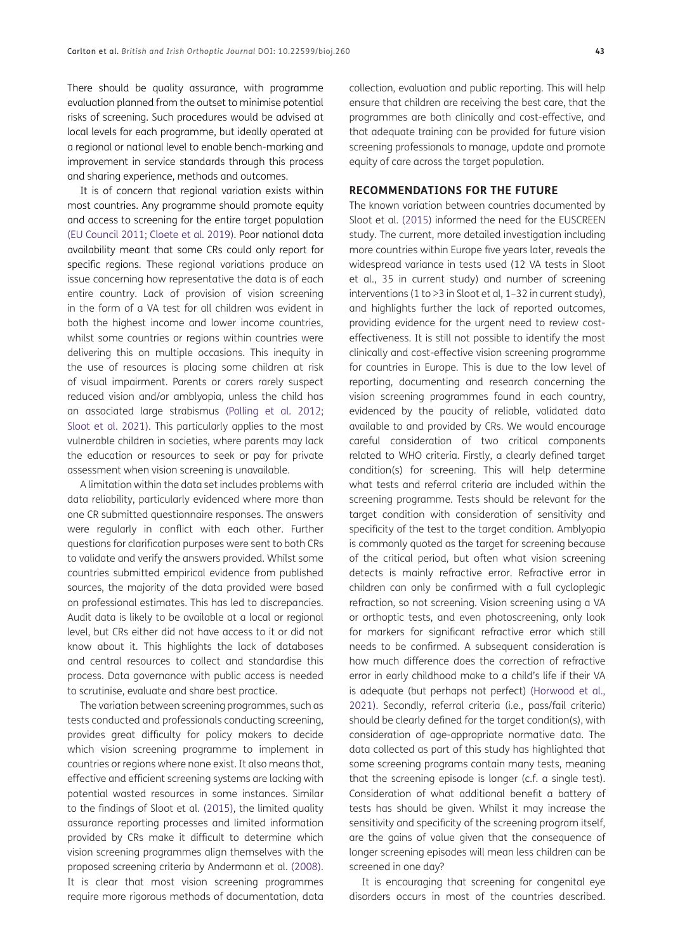There should be quality assurance, with programme evaluation planned from the outset to minimise potential risks of screening. Such procedures would be advised at local levels for each programme, but ideally operated at a regional or national level to enable bench-marking and improvement in service standards through this process and sharing experience, methods and outcomes.

It is of concern that regional variation exists within most countries. Any programme should promote equity and access to screening for the entire target population [\(EU Council 2011](#page-19-12); [Cloete et al. 2019\)](#page-19-13). Poor national data availability meant that some CRs could only report for specific regions. These regional variations produce an issue concerning how representative the data is of each entire country. Lack of provision of vision screening in the form of a VA test for all children was evident in both the highest income and lower income countries, whilst some countries or regions within countries were delivering this on multiple occasions. This inequity in the use of resources is placing some children at risk of visual impairment. Parents or carers rarely suspect reduced vision and/or amblyopia, unless the child has an associated large strabismus ([Polling et al. 2012](#page-19-14); [Sloot et al. 2021](#page-19-11)). This particularly applies to the most vulnerable children in societies, where parents may lack the education or resources to seek or pay for private assessment when vision screening is unavailable.

A limitation within the data set includes problems with data reliability, particularly evidenced where more than one CR submitted questionnaire responses. The answers were regularly in conflict with each other. Further questions for clarification purposes were sent to both CRs to validate and verify the answers provided. Whilst some countries submitted empirical evidence from published sources, the majority of the data provided were based on professional estimates. This has led to discrepancies. Audit data is likely to be available at a local or regional level, but CRs either did not have access to it or did not know about it. This highlights the lack of databases and central resources to collect and standardise this process. Data governance with public access is needed to scrutinise, evaluate and share best practice.

The variation between screening programmes, such as tests conducted and professionals conducting screening, provides great difficulty for policy makers to decide which vision screening programme to implement in countries or regions where none exist. It also means that, effective and efficient screening systems are lacking with potential wasted resources in some instances. Similar to the findings of Sloot et al. ([2015\)](#page-19-11), the limited quality assurance reporting processes and limited information provided by CRs make it difficult to determine which vision screening programmes align themselves with the proposed screening criteria by Andermann et al. (2008). It is clear that most vision screening programmes require more rigorous methods of documentation, data collection, evaluation and public reporting. This will help ensure that children are receiving the best care, that the programmes are both clinically and cost-effective, and that adequate training can be provided for future vision screening professionals to manage, update and promote equity of care across the target population.

#### **RECOMMENDATIONS FOR THE FUTURE**

The known variation between countries documented by Sloot et al. ([2015](#page-19-4)) informed the need for the EUSCREEN study. The current, more detailed investigation including more countries within Europe five years later, reveals the widespread variance in tests used (12 VA tests in Sloot et al., 35 in current study) and number of screening interventions (1 to >3 in Sloot et al, 1–32 in current study), and highlights further the lack of reported outcomes, providing evidence for the urgent need to review costeffectiveness. It is still not possible to identify the most clinically and cost-effective vision screening programme for countries in Europe. This is due to the low level of reporting, documenting and research concerning the vision screening programmes found in each country, evidenced by the paucity of reliable, validated data available to and provided by CRs. We would encourage careful consideration of two critical components related to WHO criteria. Firstly, a clearly defined target condition(s) for screening. This will help determine what tests and referral criteria are included within the screening programme. Tests should be relevant for the target condition with consideration of sensitivity and specificity of the test to the target condition. Amblyopia is commonly quoted as the target for screening because of the critical period, but often what vision screening detects is mainly refractive error. Refractive error in children can only be confirmed with a full cycloplegic refraction, so not screening. Vision screening using a VA or orthoptic tests, and even photoscreening, only look for markers for significant refractive error which still needs to be confirmed. A subsequent consideration is how much difference does the correction of refractive error in early childhood make to a child's life if their VA is adequate (but perhaps not perfect) [\(Horwood et al.,](#page-19-15)  [2021\)](#page-19-15). Secondly, referral criteria (i.e., pass/fail criteria) should be clearly defined for the target condition(s), with consideration of age-appropriate normative data. The data collected as part of this study has highlighted that some screening programs contain many tests, meaning that the screening episode is longer (c.f. a single test). Consideration of what additional benefit a battery of tests has should be given. Whilst it may increase the sensitivity and specificity of the screening program itself, are the gains of value given that the consequence of longer screening episodes will mean less children can be screened in one day?

It is encouraging that screening for congenital eye disorders occurs in most of the countries described.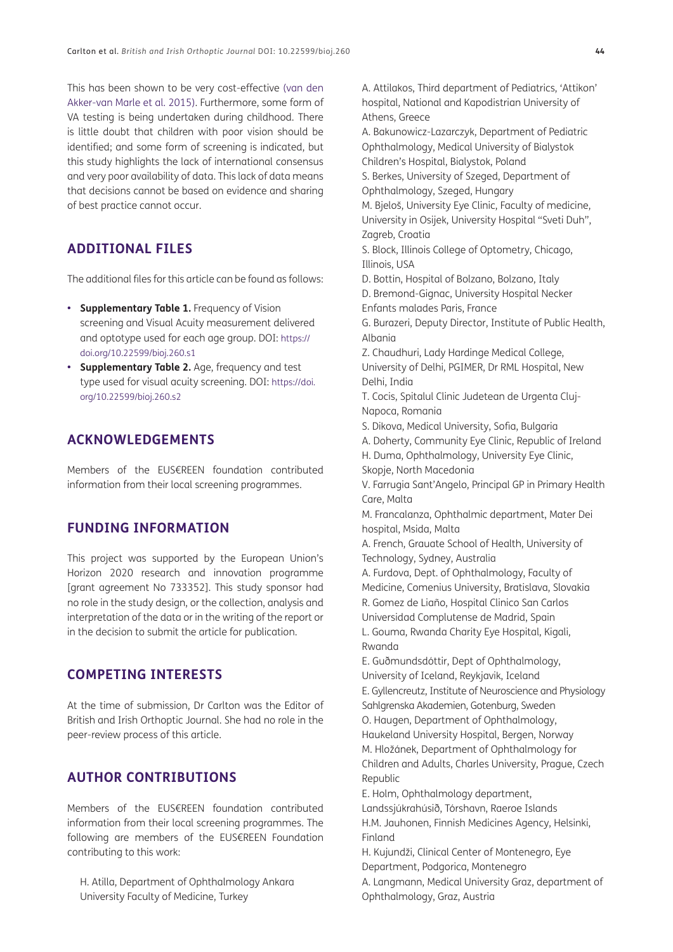This has been shown to be very cost-effective [\(van den](#page-19-16) [Akker-van Marle et al. 2015\)](#page-19-16). Furthermore, some form of VA testing is being undertaken during childhood. There is little doubt that children with poor vision should be identified; and some form of screening is indicated, but this study highlights the lack of international consensus and very poor availability of data. This lack of data means that decisions cannot be based on evidence and sharing of best practice cannot occur.

# **ADDITIONAL FILES**

The additional files for this article can be found as follows:

- **• Supplementary Table 1.** Frequency of Vision screening and Visual Acuity measurement delivered and optotype used for each age group. DOI: [https://](https://doi.org/10.22599/bioj.260.s1) [doi.org/10.22599/bioj.260.s1](https://doi.org/10.22599/bioj.260.s1)
- **• Supplementary Table 2.** Age, frequency and test type used for visual acuity screening. DOI: [https://doi.](https://doi.org/10.22599/bioj.260.s2) [org/10.22599/bioj.260.s2](https://doi.org/10.22599/bioj.260.s2)

# **ACKNOWLEDGEMENTS**

Members of the EUS€REEN foundation contributed information from their local screening programmes.

## **FUNDING INFORMATION**

This project was supported by the European Union's Horizon 2020 research and innovation programme [grant agreement No 733352]. This study sponsor had no role in the study design, or the collection, analysis and interpretation of the data or in the writing of the report or in the decision to submit the article for publication.

# **COMPETING INTERESTS**

At the time of submission, Dr Carlton was the Editor of British and Irish Orthoptic Journal. She had no role in the peer-review process of this article.

## **AUTHOR CONTRIBUTIONS**

Members of the EUS€REEN foundation contributed information from their local screening programmes. The following are members of the EUS€REEN Foundation contributing to this work:

H. Atilla, Department of Ophthalmology Ankara University Faculty of Medicine, Turkey

A. Attilakos, Third department of Pediatrics, 'Attikon' hospital, National and Kapodistrian University of Athens, Greece

A. Bakunowicz-Lazarczyk, Department of Pediatric Ophthalmology, Medical University of Bialystok Children's Hospital, Bialystok, Poland

S. Berkes, University of Szeged, Department of Ophthalmology, Szeged, Hungary

M. Bjeloš, University Eye Clinic, Faculty of medicine, University in Osijek, University Hospital "Sveti Duh", Zagreb, Croatia

S. Block, Illinois College of Optometry, Chicago, Illinois, USA

D. Bottin, Hospital of Bolzano, Bolzano, Italy

D. Bremond-Gignac, University Hospital Necker Enfants malades Paris, France

G. Burazeri, Deputy Director, Institute of Public Health, Albania

Z. Chaudhuri, Lady Hardinge Medical College,

University of Delhi, PGIMER, Dr RML Hospital, New Delhi, India

T. Cocis, Spitalul Clinic Judetean de Urgenta Cluj-Napoca, Romania

S. Dikova, Medical University, Sofia, Bulgaria

A. Doherty, Community Eye Clinic, Republic of Ireland

H. Duma, Ophthalmology, University Eye Clinic, Skopje, North Macedonia

V. Farrugia Sant'Angelo, Principal GP in Primary Health Care, Malta

M. Francalanza, Ophthalmic department, Mater Dei hospital, Msida, Malta

A. French, Grauate School of Health, University of Technology, Sydney, Australia

A. Furdova, Dept. of Ophthalmology, Faculty of Medicine, Comenius University, Bratislava, Slovakia R. Gomez de Liaño, Hospital Clinico San Carlos Universidad Complutense de Madrid, Spain

L. Gouma, Rwanda Charity Eye Hospital, Kigali, Rwanda

E. Guðmundsdóttir, Dept of Ophthalmology, University of Iceland, Reykjavik, Iceland

E. Gyllencreutz, Institute of Neuroscience and Physiology Sahlgrenska Akademien, Gotenburg, Sweden

O. Haugen, Department of Ophthalmology, Haukeland University Hospital, Bergen, Norway M. Hložánek, Department of Ophthalmology for Children and Adults, Charles University, Prague, Czech Republic

E. Holm, Ophthalmology department,

Landssjúkrahúsið, Tórshavn, Raeroe Islands

H.M. Jauhonen, Finnish Medicines Agency, Helsinki, Finland

H. Kujundži, Clinical Center of Montenegro, Eye Department, Podgorica, Montenegro

A. Langmann, Medical University Graz, department of Ophthalmology, Graz, Austria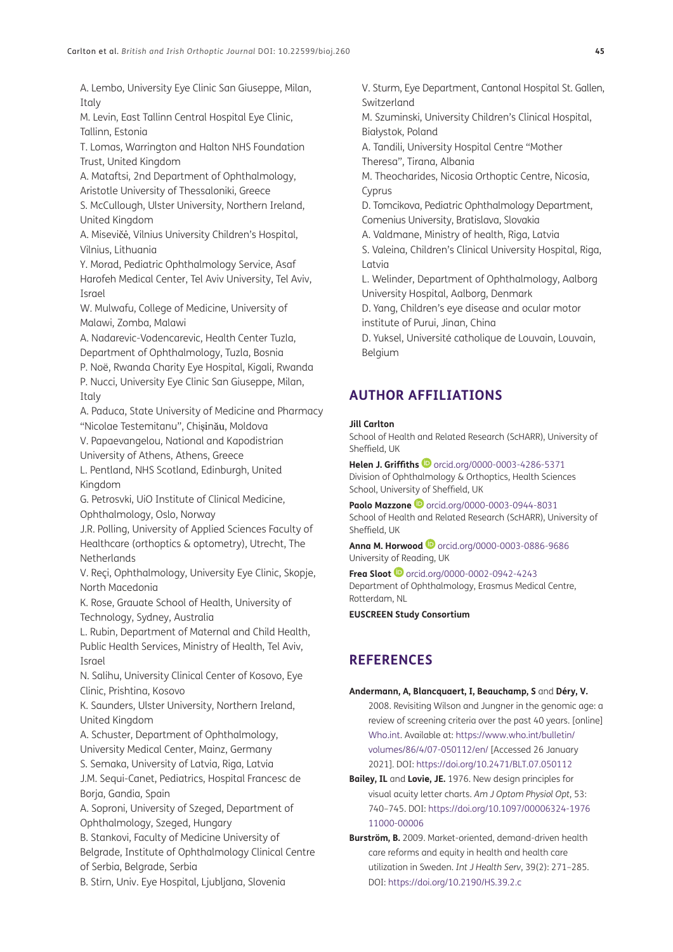A. Lembo, University Eye Clinic San Giuseppe, Milan, Italy

M. Levin, East Tallinn Central Hospital Eye Clinic, Tallinn, Estonia

T. Lomas, Warrington and Halton NHS Foundation Trust, United Kingdom

A. Mataftsi, 2nd Department of Ophthalmology, Aristotle University of Thessaloniki, Greece

S. McCullough, Ulster University, Northern Ireland, United Kingdom

A. Misevičė, Vilnius University Children's Hospital, Vilnius, Lithuania

Y. Morad, Pediatric Ophthalmology Service, Asaf Harofeh Medical Center, Tel Aviv University, Tel Aviv, Israel

W. Mulwafu, College of Medicine, University of Malawi, Zomba, Malawi

A. Nadarevic-Vodencarevic, Health Center Tuzla, Department of Ophthalmology, Tuzla, Bosnia

P. Noë, Rwanda Charity Eye Hospital, Kigali, Rwanda P. Nucci, University Eye Clinic San Giuseppe, Milan, Italy

A. Paduca, State University of Medicine and Pharmacy "Nicolae Testemitanu", Chișinău, Moldova

V. Papaevangelou, National and Kapodistrian University of Athens, Athens, Greece

L. Pentland, NHS Scotland, Edinburgh, United Kingdom

G. Petrosvki, UiO Institute of Clinical Medicine, Ophthalmology, Oslo, Norway

J.R. Polling, University of Applied Sciences Faculty of Healthcare (orthoptics & optometry), Utrecht, The Netherlands

V. Reçi, Ophthalmology, University Eye Clinic, Skopje, North Macedonia

K. Rose, Grauate School of Health, University of Technology, Sydney, Australia

L. Rubin, Department of Maternal and Child Health, Public Health Services, Ministry of Health, Tel Aviv, Israel

N. Salihu, University Clinical Center of Kosovo, Eye Clinic, Prishtina, Kosovo

K. Saunders, Ulster University, Northern Ireland, United Kingdom

A. Schuster, Department of Ophthalmology, University Medical Center, Mainz, Germany

S. Semaka, University of Latvia, Riga, Latvia

J.M. Sequi-Canet, Pediatrics, Hospital Francesc de Borja, Gandia, Spain

A. Soproni, University of Szeged, Department of Ophthalmology, Szeged, Hungary

B. Stankovi, Faculty of Medicine University of

Belgrade, Institute of Ophthalmology Clinical Centre of Serbia, Belgrade, Serbia

B. Stirn, Univ. Eye Hospital, Ljubljana, Slovenia

V. Sturm, Eye Department, Cantonal Hospital St. Gallen, Switzerland

M. Szuminski, University Children's Clinical Hospital, Białystok, Poland

A. Tandili, University Hospital Centre "Mother Theresa", Tirana, Albania

M. Theocharides, Nicosia Orthoptic Centre, Nicosia, Cyprus

D. Tomcikova, Pediatric Ophthalmology Department, Comenius University, Bratislava, Slovakia

A. Valdmane, Ministry of health, Riga, Latvia

S. Valeina, Children's Clinical University Hospital, Riga, Latvia

L. Welinder, Department of Ophthalmology, Aalborg University Hospital, Aalborg, Denmark

D. Yang, Children's eye disease and ocular motor

institute of Purui, Jinan, China

D. Yuksel, Université catholique de Louvain, Louvain, Belgium

# <span id="page-18-0"></span>**AUTHOR AFFILIATIONS**

#### **Jill Carlton**

School of Health and Related Research (ScHARR), University of Sheffield, UK

Helen J. Griffiths <sup>1</sup> [orcid.org/0000-0003-4286-5371](https://orcid.org/0000-0003-4286-5371) Division of Ophthalmology & Orthoptics, Health Sciences School, University of Sheffield, UK

**PaoloMazzone D** [orcid.org/0000-0003-0944-8031](https://orcid.org/0000-0003-0944-8031) School of Health and Related Research (ScHARR), University of Sheffield, UK

**Anna M. Horwood**[orcid.org/0000-0003-0886-9686](https://orcid.org/0000-0003-0886-9686) University of Reading, UK

**Frea Sloot**[orcid.org/0000-0002-0942-4243](https://orcid.org/0000-0002-0942-4243) Department of Ophthalmology, Erasmus Medical Centre, Rotterdam, NL

**EUSCREEN Study Consortium**

# **REFERENCES**

#### **Andermann, A, Blancquaert, I, Beauchamp, S** and **Déry, V.**

2008. Revisiting Wilson and Jungner in the genomic age: a review of screening criteria over the past 40 years. [online] [Who.int](https://www.who.int/). Available at: [https://www.who.int/bulletin/](https://www.who.int/bulletin/volumes/86/4/07-050112/en/) [volumes/86/4/07-050112/en/](https://www.who.int/bulletin/volumes/86/4/07-050112/en/) [Accessed 26 January 2021]. DOI: [https://doi.org/10.2471/BLT.07.050112](https://doi.org/10.2471/BLT.07.050112 )

<span id="page-18-1"></span>**Bailey, IL** and **Lovie, JE.** 1976. New design principles for visual acuity letter charts. *Am J Optom Physiol Opt*, 53: 740–745. DOI: [https://doi.org/10.1097/00006324-1976](https://doi.org/10.1097/00006324-197611000-00006 ) [11000-00006](https://doi.org/10.1097/00006324-197611000-00006 )

**Burström, B.** 2009. Market-oriented, demand-driven health care reforms and equity in health and health care utilization in Sweden. *Int J Health Serv*, 39(2): 271–285. DOI: [https://doi.org/10.2190/HS.39.2.c](https://doi.org/10.2190/HS.39.2.c )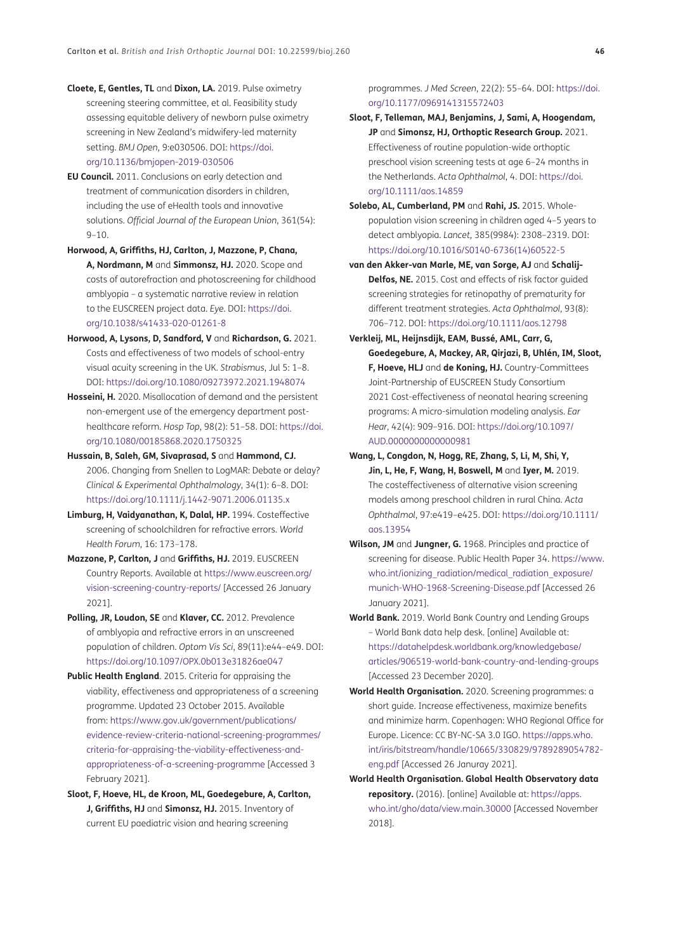- <span id="page-19-13"></span>**Cloete, E, Gentles, TL** and **Dixon, LA.** 2019. Pulse oximetry screening steering committee, et al. Feasibility study assessing equitable delivery of newborn pulse oximetry screening in New Zealand's midwifery-led maternity setting. *BMJ Open,* 9:e030506. DOI: [https://doi.](https://doi.org/10.1136/bmjopen-2019-030506 ) [org/10.1136/bmjopen-2019-030506](https://doi.org/10.1136/bmjopen-2019-030506 )
- <span id="page-19-12"></span>**EU Council.** 2011. Conclusions on early detection and treatment of communication disorders in children, including the use of eHealth tools and innovative solutions. *Official Journal of the European Union*, 361(54):  $9 - 10$ .
- <span id="page-19-8"></span>**Horwood, A, Griffiths, HJ, Carlton, J, Mazzone, P, Chana, A, Nordmann, M** and **Simmonsz, HJ.** 2020. Scope and costs of autorefraction and photoscreening for childhood amblyopia – a systematic narrative review in relation to the EUSCREEN project data. *Eye.* DOI: [https://doi.](https://doi.org/10.1038/s41433-020-01261-8 ) [org/10.1038/s41433-020-01261-8](https://doi.org/10.1038/s41433-020-01261-8 )
- <span id="page-19-15"></span>**Horwood, A, Lysons, D, Sandford, V** and **Richardson, G.** 2021. Costs and effectiveness of two models of school-entry visual acuity screening in the UK. *Strabismus*, Jul 5: 1–8. DOI: [https://doi.org/10.1080/09273972.2021.1948074](https://doi.org/10.1080/09273972.2021.1948074 )
- **Hosseini, H.** 2020. Misallocation of demand and the persistent non-emergent use of the emergency department posthealthcare reform. *Hosp Top*, 98(2): 51–58. DOI: [https://doi.](https://doi.org/10.1080/00185868.2020.1750325 ) [org/10.1080/00185868.2020.1750325](https://doi.org/10.1080/00185868.2020.1750325 )
- <span id="page-19-2"></span>**Hussain, B, Saleh, GM, Sivaprasad, S** and **Hammond, CJ.** 2006. Changing from Snellen to LogMAR: Debate or delay? *Clinical & Experimental Ophthalmology*, 34(1): 6–8. DOI: [https://doi.org/10.1111/j.1442-9071.2006.01135.x](https://doi.org/10.1111/j.1442-9071.2006.01135.x )
- **Limburg, H, Vaidyanathan, K, Dalal, HP.** 1994. Costeffective screening of schoolchildren for refractive errors. *World Health Forum*, 16: 173–178.
- <span id="page-19-9"></span>**Mazzone, P, Carlton, J** and **Griffiths, HJ.** 2019. EUSCREEN Country Reports. Available at [https://www.euscreen.org/](https://www.euscreen.org/vision-screening-country-reports/) [vision-screening-country-reports/](https://www.euscreen.org/vision-screening-country-reports/) [Accessed 26 January 2021].
- <span id="page-19-14"></span>**Polling, JR, Loudon, SE** and **Klaver, CC.** 2012. Prevalence of amblyopia and refractive errors in an unscreened population of children. *Optom Vis Sci*, 89(11):e44–e49. DOI: [https://doi.org/10.1097/OPX.0b013e31826ae047](https://doi.org/10.1097/OPX.0b013e31826ae047 )
- <span id="page-19-3"></span>**Public Health England.** 2015. Criteria for appraising the viability, effectiveness and appropriateness of a screening programme. Updated 23 October 2015. Available from: [https://www.gov.uk/government/publications/](https://www.gov.uk/government/publications/evidence-review-criteria-national-screening-programmes/criteria-for-appraising-the-viability-effectiveness-and-appropriateness-of-a-screening-programme) [evidence-review-criteria-national-screening-programmes/](https://www.gov.uk/government/publications/evidence-review-criteria-national-screening-programmes/criteria-for-appraising-the-viability-effectiveness-and-appropriateness-of-a-screening-programme) [criteria-for-appraising-the-viability-effectiveness-and](https://www.gov.uk/government/publications/evidence-review-criteria-national-screening-programmes/criteria-for-appraising-the-viability-effectiveness-and-appropriateness-of-a-screening-programme)[appropriateness-of-a-screening-programme](https://www.gov.uk/government/publications/evidence-review-criteria-national-screening-programmes/criteria-for-appraising-the-viability-effectiveness-and-appropriateness-of-a-screening-programme) [Accessed 3 February 2021].
- <span id="page-19-4"></span>**Sloot, F, Hoeve, HL, de Kroon, ML, Goedegebure, A, Carlton, J, Griffiths, HJ** and **Simonsz, HJ.** 2015. Inventory of current EU paediatric vision and hearing screening

programmes. *J Med Screen*, 22(2): 55–64. DOI: [https://doi.](https://doi.org/10.1177/0969141315572403) [org/10.1177/0969141315572403](https://doi.org/10.1177/0969141315572403)

- <span id="page-19-11"></span>**Sloot, F, Telleman, MAJ, Benjamins, J, Sami, A, Hoogendam, JP** and **Simonsz, HJ, Orthoptic Research Group.** 2021. Effectiveness of routine population-wide orthoptic preschool vision screening tests at age 6–24 months in the Netherlands. *Acta Ophthalmol*, 4. DOI: [https://doi.](https://doi.org/10.1111/aos.14859 ) [org/10.1111/aos.14859](https://doi.org/10.1111/aos.14859 )
- <span id="page-19-10"></span>**Solebo, AL, Cumberland, PM** and **Rahi, JS.** 2015. Wholepopulation vision screening in children aged 4–5 years to detect amblyopia. *Lancet,* 385(9984): 2308–2319. DOI: [https://doi.org/10.1016/S0140-6736\(14\)60522-5](https://doi.org/10.1016/S0140-6736(14)60522-5 )
- <span id="page-19-16"></span>**van den Akker-van Marle, ME, van Sorge, AJ** and **Schalij-Delfos, NE.** 2015. Cost and effects of risk factor guided screening strategies for retinopathy of prematurity for different treatment strategies. *Acta Ophthalmol*, 93(8): 706–712. DOI: [https://doi.org/10.1111/aos.12798](https://doi.org/10.1111/aos.12798 )
- **Verkleij, ML, Heijnsdijk, EAM, Bussé, AML, Carr, G, Goedegebure, A, Mackey, AR, Qirjazi, B, Uhlén, IM, Sloot, F, Hoeve, HLJ** and **de Koning, HJ.** Country-Committees Joint-Partnership of EUSCREEN Study Consortium 2021 Cost-effectiveness of neonatal hearing screening programs: A micro-simulation modeling analysis. *Ear Hear*, 42(4): 909–916. DOI: [https://doi.org/10.1097/](https://doi.org/10.1097/AUD.0000000000000981 ) [AUD.0000000000000981](https://doi.org/10.1097/AUD.0000000000000981 )
- <span id="page-19-5"></span>**Wang, L, Congdon, N, Hogg, RE, Zhang, S, Li, M, Shi, Y, Jin, L, He, F, Wang, H, Boswell, M** and **Iyer, M.** 2019. The costeffectiveness of alternative vision screening models among preschool children in rural China. *Acta Ophthalmol*, 97:e419–e425. DOI: [https://doi.org/10.1111/](https://doi.org/10.1111/aos.13954 ) [aos.13954](https://doi.org/10.1111/aos.13954 )
- <span id="page-19-0"></span>**Wilson, JM** and **Jungner, G.** 1968. Principles and practice of screening for disease. Public Health Paper 34. [https://www.](https://www.who.int/ionizing_radiation/medical_radiation_exposure/munich-WHO-1968-Screening-Disease.pdf) [who.int/ionizing\\_radiation/medical\\_radiation\\_exposure/](https://www.who.int/ionizing_radiation/medical_radiation_exposure/munich-WHO-1968-Screening-Disease.pdf) [munich-WHO-1968-Screening-Disease.pdf](https://www.who.int/ionizing_radiation/medical_radiation_exposure/munich-WHO-1968-Screening-Disease.pdf) [Accessed 26 January 2021].
- <span id="page-19-6"></span>**World Bank.** 2019. World Bank Country and Lending Groups – World Bank data help desk. [online] Available at: [https://datahelpdesk.worldbank.org/knowledgebase/](https://datahelpdesk.worldbank.org/knowledgebase/articles/906519-world-bank-country-and-lending-groups) [articles/906519-world-bank-country-and-lending-groups](https://datahelpdesk.worldbank.org/knowledgebase/articles/906519-world-bank-country-and-lending-groups) [Accessed 23 December 2020].
- <span id="page-19-1"></span>**World Health Organisation.** 2020. Screening programmes: a short guide. Increase effectiveness, maximize benefits and minimize harm. Copenhagen: WHO Regional Office for Europe. Licence: CC BY-NC-SA 3.0 IGO. [https://apps.who.](https://apps.who.int/iris/bitstream/handle/10665/330829/9789289054782-eng.pdf) [int/iris/bitstream/handle/10665/330829/9789289054782](https://apps.who.int/iris/bitstream/handle/10665/330829/9789289054782-eng.pdf) [eng.pdf](https://apps.who.int/iris/bitstream/handle/10665/330829/9789289054782-eng.pdf) [Accessed 26 Januray 2021].
- <span id="page-19-7"></span>**World Health Organisation. Global Health Observatory data repository.** (2016). [online] Available at: [https://apps.](https://apps.who.int/gho/data/view.main.30000) [who.int/gho/data/view.main.30000](https://apps.who.int/gho/data/view.main.30000) [Accessed November 2018].